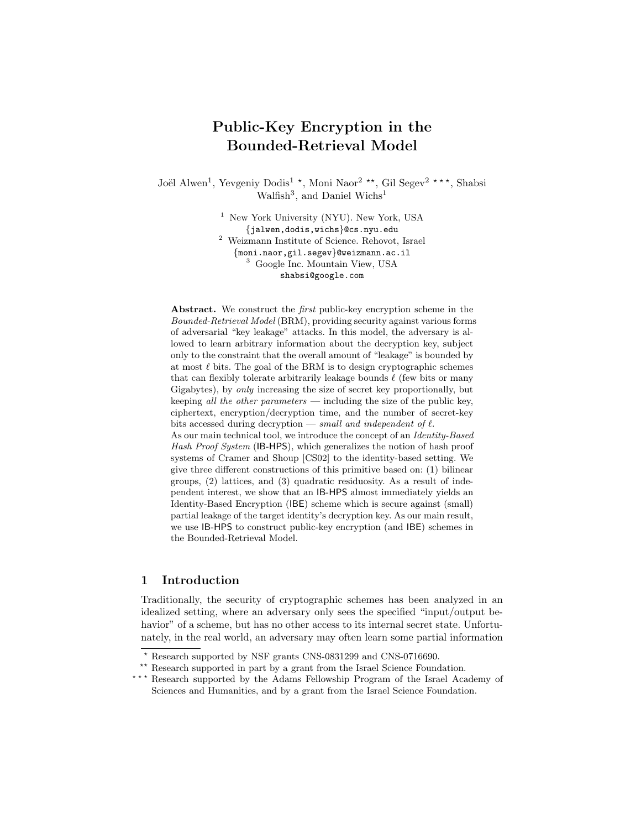# Public-Key Encryption in the Bounded-Retrieval Model

Joël Alwen<sup>1</sup>, Yevgeniy Dodis<sup>1</sup><sup>\*</sup>, Moni Naor<sup>2</sup><sup>\*\*</sup>, Gil Segev<sup>2</sup><sup>\*\*</sup>, Shabsi Walfish<sup>3</sup>, and Daniel Wichs<sup>1</sup>

> <sup>1</sup> New York University (NYU). New York, USA {jalwen,dodis,wichs}@cs.nyu.edu <sup>2</sup> Weizmann Institute of Science. Rehovot, Israel {moni.naor,gil.segev}@weizmann.ac.il <sup>3</sup> Google Inc. Mountain View, USA shabsi@google.com

Abstract. We construct the *first* public-key encryption scheme in the Bounded-Retrieval Model (BRM), providing security against various forms of adversarial "key leakage" attacks. In this model, the adversary is allowed to learn arbitrary information about the decryption key, subject only to the constraint that the overall amount of "leakage" is bounded by at most  $\ell$  bits. The goal of the BRM is to design cryptographic schemes that can flexibly tolerate arbitrarily leakage bounds  $\ell$  (few bits or many Gigabytes), by only increasing the size of secret key proportionally, but keeping *all the other parameters* — including the size of the public key, ciphertext, encryption/decryption time, and the number of secret-key bits accessed during decryption — small and independent of  $\ell$ .

As our main technical tool, we introduce the concept of an Identity-Based Hash Proof System (IB-HPS), which generalizes the notion of hash proof systems of Cramer and Shoup [CS02] to the identity-based setting. We give three different constructions of this primitive based on: (1) bilinear groups, (2) lattices, and (3) quadratic residuosity. As a result of independent interest, we show that an IB-HPS almost immediately yields an Identity-Based Encryption (IBE) scheme which is secure against (small) partial leakage of the target identity's decryption key. As our main result, we use IB-HPS to construct public-key encryption (and IBE) schemes in the Bounded-Retrieval Model.

# 1 Introduction

Traditionally, the security of cryptographic schemes has been analyzed in an idealized setting, where an adversary only sees the specified "input/output behavior" of a scheme, but has no other access to its internal secret state. Unfortunately, in the real world, an adversary may often learn some partial information

\*\* Research supported in part by a grant from the Israel Science Foundation.

<sup>?</sup> Research supported by NSF grants CNS-0831299 and CNS-0716690.

<sup>\*\*\*</sup> Research supported by the Adams Fellowship Program of the Israel Academy of Sciences and Humanities, and by a grant from the Israel Science Foundation.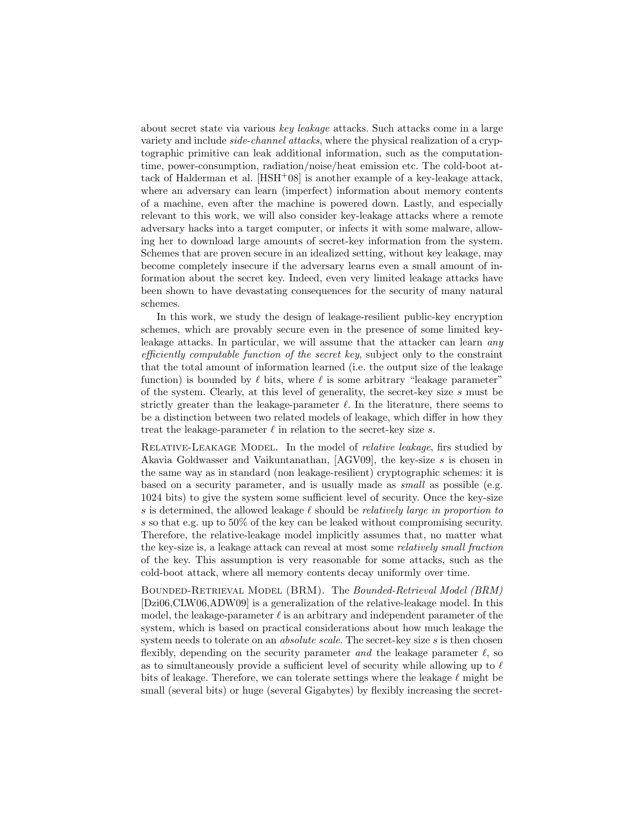about secret state via various key leakage attacks. Such attacks come in a large variety and include side-channel attacks, where the physical realization of a cryptographic primitive can leak additional information, such as the computationtime, power-consumption, radiation/noise/heat emission etc. The cold-boot attack of Halderman et al.  $[HSH<sup>+</sup>08]$  is another example of a key-leakage attack, where an adversary can learn (imperfect) information about memory contents of a machine, even after the machine is powered down. Lastly, and especially relevant to this work, we will also consider key-leakage attacks where a remote adversary hacks into a target computer, or infects it with some malware, allowing her to download large amounts of secret-key information from the system. Schemes that are proven secure in an idealized setting, without key leakage, may become completely insecure if the adversary learns even a small amount of information about the secret key. Indeed, even very limited leakage attacks have been shown to have devastating consequences for the security of many natural schemes.

In this work, we study the design of leakage-resilient public-key encryption schemes, which are provably secure even in the presence of some limited keyleakage attacks. In particular, we will assume that the attacker can learn any efficiently computable function of the secret key, subject only to the constraint that the total amount of information learned (i.e. the output size of the leakage function) is bounded by  $\ell$  bits, where  $\ell$  is some arbitrary "leakage parameter" of the system. Clearly, at this level of generality, the secret-key size s must be strictly greater than the leakage-parameter  $\ell$ . In the literature, there seems to be a distinction between two related models of leakage, which differ in how they treat the leakage-parameter  $\ell$  in relation to the secret-key size s.

RELATIVE-LEAKAGE MODEL. In the model of *relative leakage*, firs studied by Akavia Goldwasser and Vaikuntanathan, [AGV09], the key-size s is chosen in the same way as in standard (non leakage-resilient) cryptographic schemes: it is based on a security parameter, and is usually made as small as possible (e.g. 1024 bits) to give the system some sufficient level of security. Once the key-size s is determined, the allowed leakage  $\ell$  should be *relatively large in proportion to* s so that e.g. up to 50% of the key can be leaked without compromising security. Therefore, the relative-leakage model implicitly assumes that, no matter what the key-size is, a leakage attack can reveal at most some relatively small fraction of the key. This assumption is very reasonable for some attacks, such as the cold-boot attack, where all memory contents decay uniformly over time.

Bounded-Retrieval Model (BRM). The Bounded-Retrieval Model (BRM) [Dzi06,CLW06,ADW09] is a generalization of the relative-leakage model. In this model, the leakage-parameter  $\ell$  is an arbitrary and independent parameter of the system, which is based on practical considerations about how much leakage the system needs to tolerate on an *absolute scale*. The secret-key size s is then chosen flexibly, depending on the security parameter and the leakage parameter  $\ell$ , so as to simultaneously provide a sufficient level of security while allowing up to  $\ell$ bits of leakage. Therefore, we can tolerate settings where the leakage  $\ell$  might be small (several bits) or huge (several Gigabytes) by flexibly increasing the secret-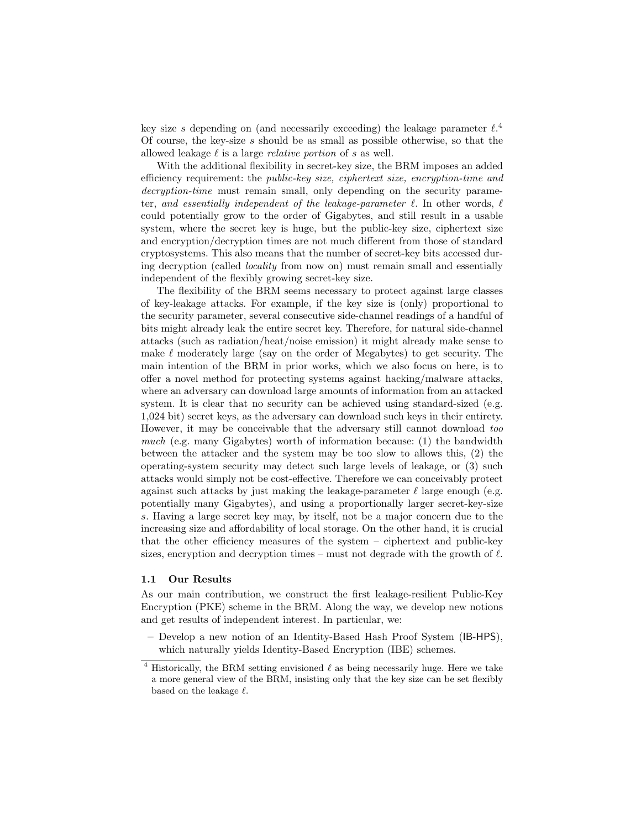key size s depending on (and necessarily exceeding) the leakage parameter  $\ell$ .<sup>4</sup> Of course, the key-size s should be as small as possible otherwise, so that the allowed leakage  $\ell$  is a large *relative portion* of s as well.

With the additional flexibility in secret-key size, the BRM imposes an added efficiency requirement: the public-key size, ciphertext size, encryption-time and decryption-time must remain small, only depending on the security parameter, and essentially independent of the leakage-parameter  $\ell$ . In other words,  $\ell$ could potentially grow to the order of Gigabytes, and still result in a usable system, where the secret key is huge, but the public-key size, ciphertext size and encryption/decryption times are not much different from those of standard cryptosystems. This also means that the number of secret-key bits accessed during decryption (called locality from now on) must remain small and essentially independent of the flexibly growing secret-key size.

The flexibility of the BRM seems necessary to protect against large classes of key-leakage attacks. For example, if the key size is (only) proportional to the security parameter, several consecutive side-channel readings of a handful of bits might already leak the entire secret key. Therefore, for natural side-channel attacks (such as radiation/heat/noise emission) it might already make sense to make  $\ell$  moderately large (say on the order of Megabytes) to get security. The main intention of the BRM in prior works, which we also focus on here, is to offer a novel method for protecting systems against hacking/malware attacks, where an adversary can download large amounts of information from an attacked system. It is clear that no security can be achieved using standard-sized (e.g. 1,024 bit) secret keys, as the adversary can download such keys in their entirety. However, it may be conceivable that the adversary still cannot download too much (e.g. many Gigabytes) worth of information because: (1) the bandwidth between the attacker and the system may be too slow to allows this, (2) the operating-system security may detect such large levels of leakage, or (3) such attacks would simply not be cost-effective. Therefore we can conceivably protect against such attacks by just making the leakage-parameter  $\ell$  large enough (e.g. potentially many Gigabytes), and using a proportionally larger secret-key-size s. Having a large secret key may, by itself, not be a major concern due to the increasing size and affordability of local storage. On the other hand, it is crucial that the other efficiency measures of the system – ciphertext and public-key sizes, encryption and decryption times – must not degrade with the growth of  $\ell$ .

#### 1.1 Our Results

As our main contribution, we construct the first leakage-resilient Public-Key Encryption (PKE) scheme in the BRM. Along the way, we develop new notions and get results of independent interest. In particular, we:

– Develop a new notion of an Identity-Based Hash Proof System (IB-HPS), which naturally yields Identity-Based Encryption (IBE) schemes.

 $^4$  Historically, the BRM setting envisioned  $\ell$  as being necessarily huge. Here we take a more general view of the BRM, insisting only that the key size can be set flexibly based on the leakage  $\ell$ .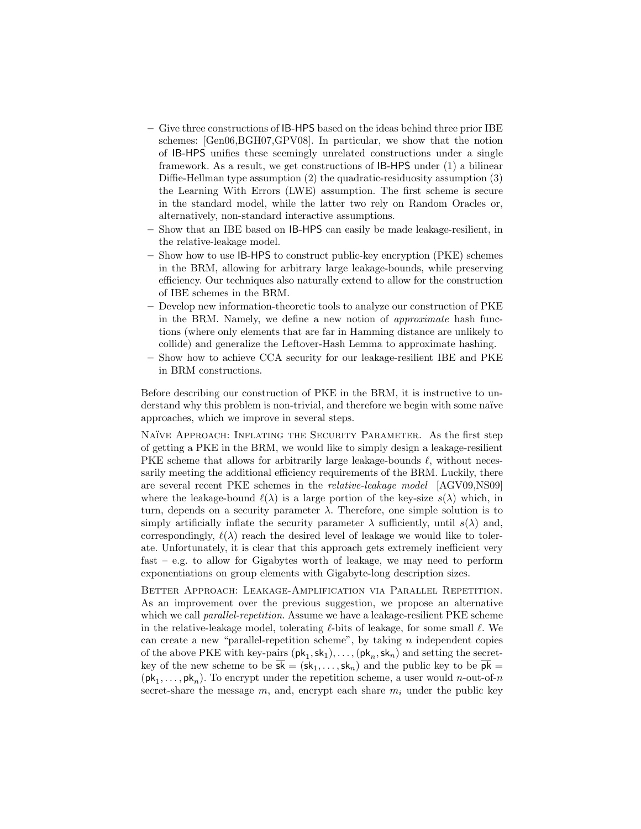- Give three constructions of IB-HPS based on the ideas behind three prior IBE schemes: [Gen06,BGH07,GPV08]. In particular, we show that the notion of IB-HPS unifies these seemingly unrelated constructions under a single framework. As a result, we get constructions of IB-HPS under (1) a bilinear Diffie-Hellman type assumption (2) the quadratic-residuosity assumption (3) the Learning With Errors (LWE) assumption. The first scheme is secure in the standard model, while the latter two rely on Random Oracles or, alternatively, non-standard interactive assumptions.
- Show that an IBE based on IB-HPS can easily be made leakage-resilient, in the relative-leakage model.
- Show how to use IB-HPS to construct public-key encryption (PKE) schemes in the BRM, allowing for arbitrary large leakage-bounds, while preserving efficiency. Our techniques also naturally extend to allow for the construction of IBE schemes in the BRM.
- Develop new information-theoretic tools to analyze our construction of PKE in the BRM. Namely, we define a new notion of approximate hash functions (where only elements that are far in Hamming distance are unlikely to collide) and generalize the Leftover-Hash Lemma to approximate hashing.
- Show how to achieve CCA security for our leakage-resilient IBE and PKE in BRM constructions.

Before describing our construction of PKE in the BRM, it is instructive to understand why this problem is non-trivial, and therefore we begin with some naïve approaches, which we improve in several steps.

NAÏVE APPROACH: INFLATING THE SECURITY PARAMETER. As the first step of getting a PKE in the BRM, we would like to simply design a leakage-resilient PKE scheme that allows for arbitrarily large leakage-bounds  $\ell$ , without necessarily meeting the additional efficiency requirements of the BRM. Luckily, there are several recent PKE schemes in the relative-leakage model [AGV09,NS09] where the leakage-bound  $\ell(\lambda)$  is a large portion of the key-size  $s(\lambda)$  which, in turn, depends on a security parameter  $\lambda$ . Therefore, one simple solution is to simply artificially inflate the security parameter  $\lambda$  sufficiently, until  $s(\lambda)$  and, correspondingly,  $\ell(\lambda)$  reach the desired level of leakage we would like to tolerate. Unfortunately, it is clear that this approach gets extremely inefficient very fast – e.g. to allow for Gigabytes worth of leakage, we may need to perform exponentiations on group elements with Gigabyte-long description sizes.

Better Approach: Leakage-Amplification via Parallel Repetition. As an improvement over the previous suggestion, we propose an alternative which we call *parallel-repetition*. Assume we have a leakage-resilient PKE scheme in the relative-leakage model, tolerating  $\ell$ -bits of leakage, for some small  $\ell$ . We can create a new "parallel-repetition scheme", by taking  $n$  independent copies of the above PKE with key-pairs  $(\mathsf{pk}_1, \mathsf{sk}_1), \ldots, (\mathsf{pk}_n, \mathsf{sk}_n)$  and setting the secretkey of the new scheme to be  $\overline{sk} = (sk_1, \ldots, sk_n)$  and the public key to be  $\overline{pk} =$  $(\mathsf{pk}_1, \ldots, \mathsf{pk}_n)$ . To encrypt under the repetition scheme, a user would *n*-out-of-*n* secret-share the message  $m$ , and, encrypt each share  $m_i$  under the public key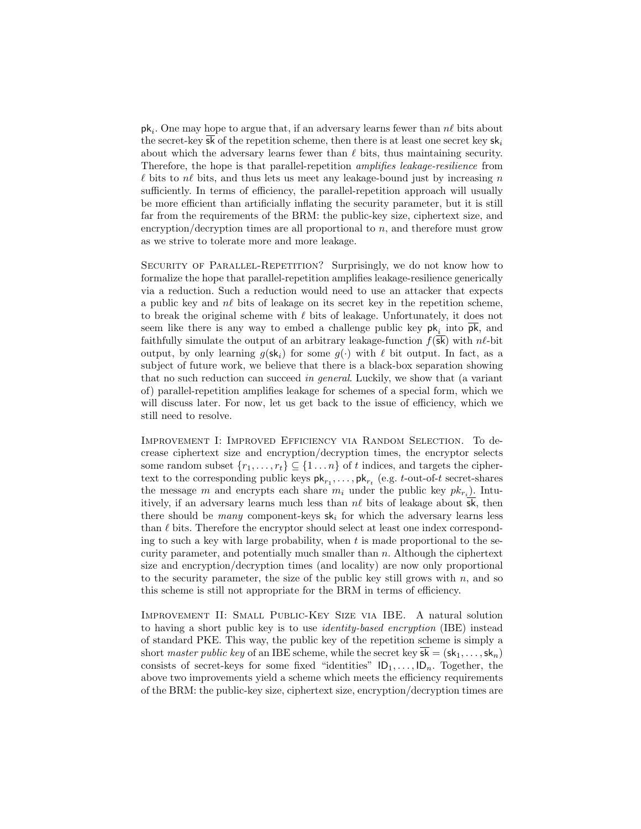$\mathsf{pk}_i$ . One may hope to argue that, if an adversary learns fewer than  $n\ell$  bits about the secret-key sk of the repetition scheme, then there is at least one secret key  $sk_i$ about which the adversary learns fewer than  $\ell$  bits, thus maintaining security. Therefore, the hope is that parallel-repetition amplifies leakage-resilience from  $\ell$  bits to  $n\ell$  bits, and thus lets us meet any leakage-bound just by increasing n sufficiently. In terms of efficiency, the parallel-repetition approach will usually be more efficient than artificially inflating the security parameter, but it is still far from the requirements of the BRM: the public-key size, ciphertext size, and encryption/decryption times are all proportional to  $n$ , and therefore must grow as we strive to tolerate more and more leakage.

Security of Parallel-Repetition? Surprisingly, we do not know how to formalize the hope that parallel-repetition amplifies leakage-resilience generically via a reduction. Such a reduction would need to use an attacker that expects a public key and  $n\ell$  bits of leakage on its secret key in the repetition scheme, to break the original scheme with  $\ell$  bits of leakage. Unfortunately, it does not seem like there is any way to embed a challenge public key  $pk_i$  into  $pk$ , and faithfully simulate the output of an arbitrary leakage-function  $f(\overline{sk})$  with  $n\ell$ -bit output, by only learning  $q(\mathsf{sk}_i)$  for some  $q(\cdot)$  with  $\ell$  bit output. In fact, as a subject of future work, we believe that there is a black-box separation showing that no such reduction can succeed in general. Luckily, we show that (a variant of) parallel-repetition amplifies leakage for schemes of a special form, which we will discuss later. For now, let us get back to the issue of efficiency, which we still need to resolve.

Improvement I: Improved Efficiency via Random Selection. To decrease ciphertext size and encryption/decryption times, the encryptor selects some random subset  $\{r_1, \ldots, r_t\} \subseteq \{1 \ldots n\}$  of t indices, and targets the ciphertext to the corresponding public keys  $\mathsf{pk}_{r_1}, \ldots, \mathsf{pk}_{r_t}$  (e.g. t-out-of-t secret-shares the message m and encrypts each share  $m_i$  under the public key  $pk_{r_i}$ ). Intuitively, if an adversary learns much less than  $n\ell$  bits of leakage about  $\overline{\mathsf{sk}}$ , then there should be *many* component-keys  $sk_i$  for which the adversary learns less than  $\ell$  bits. Therefore the encryptor should select at least one index corresponding to such a key with large probability, when  $t$  is made proportional to the security parameter, and potentially much smaller than  $n$ . Although the ciphertext size and encryption/decryption times (and locality) are now only proportional to the security parameter, the size of the public key still grows with  $n$ , and so this scheme is still not appropriate for the BRM in terms of efficiency.

Improvement II: Small Public-Key Size via IBE. A natural solution to having a short public key is to use identity-based encryption (IBE) instead of standard PKE. This way, the public key of the repetition scheme is simply a short master public key of an IBE scheme, while the secret key  $\overline{s}\overline{k} = (\overline{s}k_1, \ldots, \overline{s}k_n)$ consists of secret-keys for some fixed "identities"  $ID_1, \ldots, ID_n$ . Together, the above two improvements yield a scheme which meets the efficiency requirements of the BRM: the public-key size, ciphertext size, encryption/decryption times are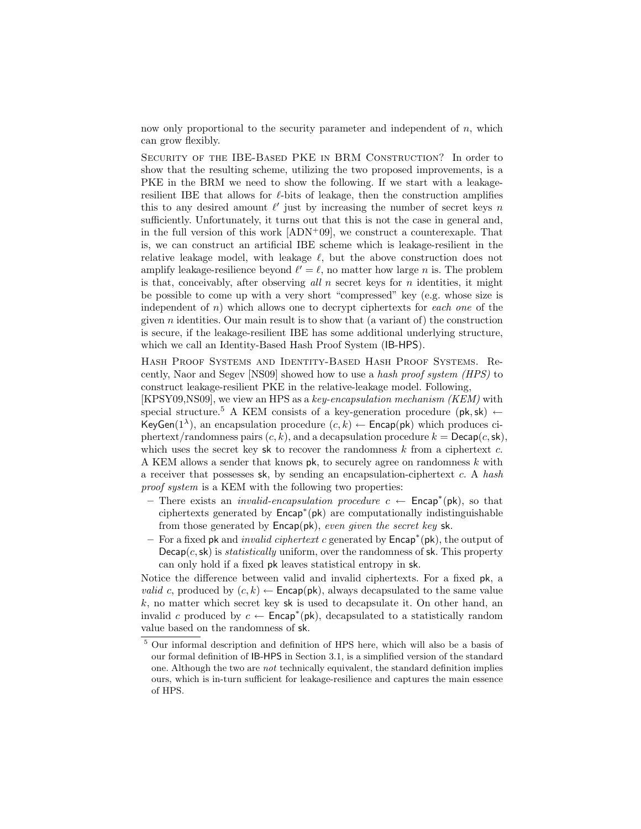now only proportional to the security parameter and independent of  $n$ , which can grow flexibly.

Security of the IBE-Based PKE in BRM Construction? In order to show that the resulting scheme, utilizing the two proposed improvements, is a PKE in the BRM we need to show the following. If we start with a leakageresilient IBE that allows for  $\ell$ -bits of leakage, then the construction amplifies this to any desired amount  $\ell'$  just by increasing the number of secret keys n sufficiently. Unfortunately, it turns out that this is not the case in general and, in the full version of this work  $[ADN<sup>+</sup>09]$ , we construct a counterexaple. That is, we can construct an artificial IBE scheme which is leakage-resilient in the relative leakage model, with leakage  $\ell$ , but the above construction does not amplify leakage-resilience beyond  $\ell' = \ell$ , no matter how large n is. The problem is that, conceivably, after observing all  $n$  secret keys for  $n$  identities, it might be possible to come up with a very short "compressed" key (e.g. whose size is independent of  $n$ ) which allows one to decrypt ciphertexts for each one of the given *n* identities. Our main result is to show that (a variant of) the construction is secure, if the leakage-resilient IBE has some additional underlying structure, which we call an Identity-Based Hash Proof System (IB-HPS).

Hash Proof Systems and Identity-Based Hash Proof Systems. Recently, Naor and Segev [NS09] showed how to use a hash proof system (HPS) to construct leakage-resilient PKE in the relative-leakage model. Following,

[KPSY09,NS09], we view an HPS as a key-encapsulation mechanism (KEM) with special structure.<sup>5</sup> A KEM consists of a key-generation procedure ( $pk, sk$ )  $\leftarrow$ KeyGen(1<sup> $\lambda$ </sup>), an encapsulation procedure (c, k)  $\leftarrow$  Encap(pk) which produces ciphertext/randomness pairs  $(c, k)$ , and a decapsulation procedure  $k = \mathsf{Decap}(c, \mathsf{sk})$ , which uses the secret key sk to recover the randomness  $k$  from a ciphertext  $c$ . A KEM allows a sender that knows  $pk$ , to securely agree on randomness  $k$  with a receiver that possesses sk, by sending an encapsulation-ciphertext c. A hash proof system is a KEM with the following two properties:

- There exists an *invalid-encapsulation procedure*  $c \leftarrow$  **Encap**<sup>\*</sup>( $pk$ ), so that ciphertexts generated by Encap<sup>∗</sup> (pk) are computationally indistinguishable from those generated by  $\mathsf{Encap}(\mathsf{pk})$ , even given the secret key sk.
- For a fixed pk and invalid ciphertext c generated by Encap<sup>∗</sup> (pk), the output of  $Decap(c, sk)$  is *statistically* uniform, over the randomness of sk. This property can only hold if a fixed pk leaves statistical entropy in sk.

Notice the difference between valid and invalid ciphertexts. For a fixed pk, a *valid c*, produced by  $(c, k) \leftarrow$  **Encap(pk)**, always decapsulated to the same value  $k$ , no matter which secret key sk is used to decapsulate it. On other hand, an invalid c produced by  $c \leftarrow$  Encap<sup>\*</sup>(pk), decapsulated to a statistically random value based on the randomness of sk.

<sup>&</sup>lt;sup>5</sup> Our informal description and definition of HPS here, which will also be a basis of our formal definition of IB-HPS in Section 3.1, is a simplified version of the standard one. Although the two are not technically equivalent, the standard definition implies ours, which is in-turn sufficient for leakage-resilience and captures the main essence of HPS.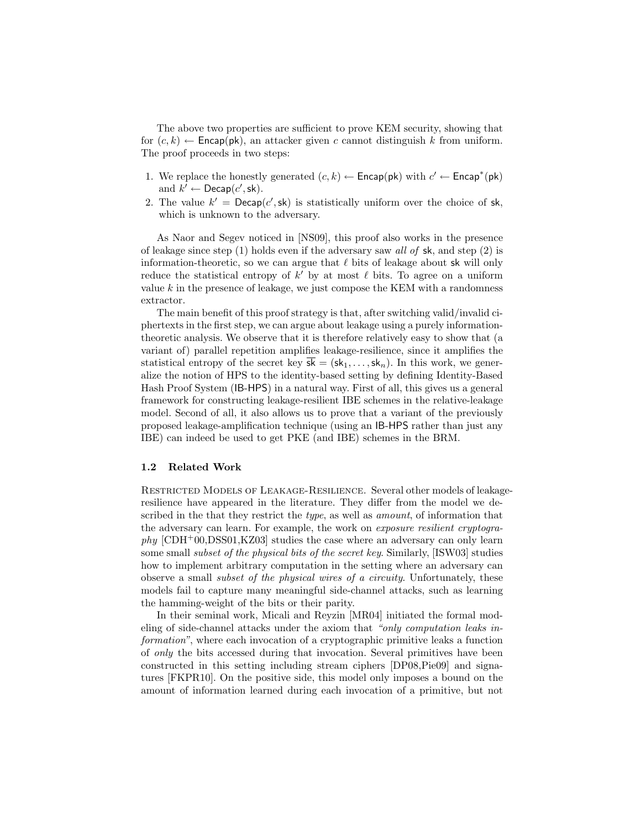The above two properties are sufficient to prove KEM security, showing that for  $(c, k) \leftarrow$  Encap(pk), an attacker given c cannot distinguish k from uniform. The proof proceeds in two steps:

- 1. We replace the honestly generated  $(c, k) \leftarrow$  Encap(pk) with  $c' \leftarrow$  Encap<sup>\*</sup>(pk) and  $k' \leftarrow \mathsf{Decap}(c', \mathsf{sk})$ .
- 2. The value  $k' = \text{Decap}(c', \text{sk})$  is statistically uniform over the choice of sk, which is unknown to the adversary.

As Naor and Segev noticed in [NS09], this proof also works in the presence of leakage since step  $(1)$  holds even if the adversary saw all of sk, and step  $(2)$  is information-theoretic, so we can argue that  $\ell$  bits of leakage about sk will only reduce the statistical entropy of  $k'$  by at most  $\ell$  bits. To agree on a uniform value  $k$  in the presence of leakage, we just compose the KEM with a randomness extractor.

The main benefit of this proof strategy is that, after switching valid/invalid ciphertexts in the first step, we can argue about leakage using a purely informationtheoretic analysis. We observe that it is therefore relatively easy to show that (a variant of) parallel repetition amplifies leakage-resilience, since it amplifies the statistical entropy of the secret key  $\overline{sk} = (sk_1, \ldots, sk_n)$ . In this work, we generalize the notion of HPS to the identity-based setting by defining Identity-Based Hash Proof System (IB-HPS) in a natural way. First of all, this gives us a general framework for constructing leakage-resilient IBE schemes in the relative-leakage model. Second of all, it also allows us to prove that a variant of the previously proposed leakage-amplification technique (using an IB-HPS rather than just any IBE) can indeed be used to get PKE (and IBE) schemes in the BRM.

## 1.2 Related Work

Restricted Models of Leakage-Resilience. Several other models of leakageresilience have appeared in the literature. They differ from the model we described in the that they restrict the *type*, as well as *amount*, of information that the adversary can learn. For example, the work on exposure resilient cryptogra $phy$  [CDH<sup>+</sup>00,DSS01,KZ03] studies the case where an adversary can only learn some small subset of the physical bits of the secret key. Similarly, [ISW03] studies how to implement arbitrary computation in the setting where an adversary can observe a small subset of the physical wires of a circuity. Unfortunately, these models fail to capture many meaningful side-channel attacks, such as learning the hamming-weight of the bits or their parity.

In their seminal work, Micali and Reyzin [MR04] initiated the formal modeling of side-channel attacks under the axiom that "only computation leaks information", where each invocation of a cryptographic primitive leaks a function of only the bits accessed during that invocation. Several primitives have been constructed in this setting including stream ciphers [DP08,Pie09] and signatures [FKPR10]. On the positive side, this model only imposes a bound on the amount of information learned during each invocation of a primitive, but not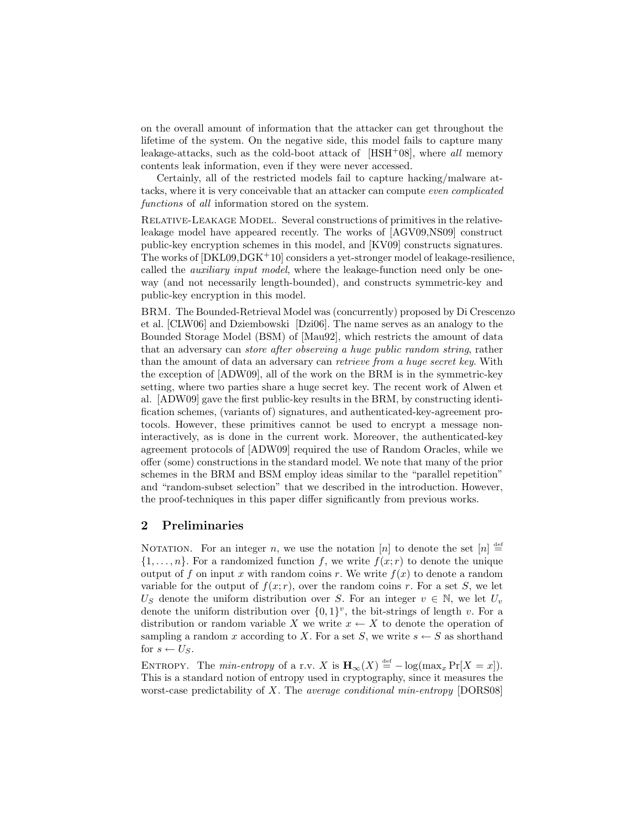on the overall amount of information that the attacker can get throughout the lifetime of the system. On the negative side, this model fails to capture many leakage-attacks, such as the cold-boot attack of  $[HSH<sup>+</sup>08]$ , where all memory contents leak information, even if they were never accessed.

Certainly, all of the restricted models fail to capture hacking/malware attacks, where it is very conceivable that an attacker can compute even complicated functions of all information stored on the system.

Relative-Leakage Model. Several constructions of primitives in the relativeleakage model have appeared recently. The works of [AGV09,NS09] construct public-key encryption schemes in this model, and [KV09] constructs signatures. The works of [DKL09,DGK+10] considers a yet-stronger model of leakage-resilience, called the *auxiliary input model*, where the leakage-function need only be oneway (and not necessarily length-bounded), and constructs symmetric-key and public-key encryption in this model.

BRM. The Bounded-Retrieval Model was (concurrently) proposed by Di Crescenzo et al. [CLW06] and Dziembowski [Dzi06]. The name serves as an analogy to the Bounded Storage Model (BSM) of [Mau92], which restricts the amount of data that an adversary can store after observing a huge public random string, rather than the amount of data an adversary can retrieve from a huge secret key. With the exception of [ADW09], all of the work on the BRM is in the symmetric-key setting, where two parties share a huge secret key. The recent work of Alwen et al. [ADW09] gave the first public-key results in the BRM, by constructing identification schemes, (variants of) signatures, and authenticated-key-agreement protocols. However, these primitives cannot be used to encrypt a message noninteractively, as is done in the current work. Moreover, the authenticated-key agreement protocols of [ADW09] required the use of Random Oracles, while we offer (some) constructions in the standard model. We note that many of the prior schemes in the BRM and BSM employ ideas similar to the "parallel repetition" and "random-subset selection" that we described in the introduction. However, the proof-techniques in this paper differ significantly from previous works.

# 2 Preliminaries

NOTATION. For an integer n, we use the notation [n] to denote the set  $[n] \stackrel{\text{def}}{=}$  $\{1,\ldots,n\}$ . For a randomized function f, we write  $f(x,r)$  to denote the unique output of f on input x with random coins r. We write  $f(x)$  to denote a random variable for the output of  $f(x; r)$ , over the random coins r. For a set S, we let U<sub>S</sub> denote the uniform distribution over S. For an integer  $v \in \mathbb{N}$ , we let  $U_v$ denote the uniform distribution over  $\{0,1\}^v$ , the bit-strings of length v. For a distribution or random variable X we write  $x \leftarrow X$  to denote the operation of sampling a random x according to X. For a set S, we write  $s \leftarrow S$  as shorthand for  $s \leftarrow U_S$ .

ENTROPY. The min-entropy of a r.v. X is  $\mathbf{H}_{\infty}(X) \stackrel{\text{def}}{=} -\log(\max_x \Pr[X=x])$ . This is a standard notion of entropy used in cryptography, since it measures the worst-case predictability of X. The *average conditional min-entropy* [DORS08]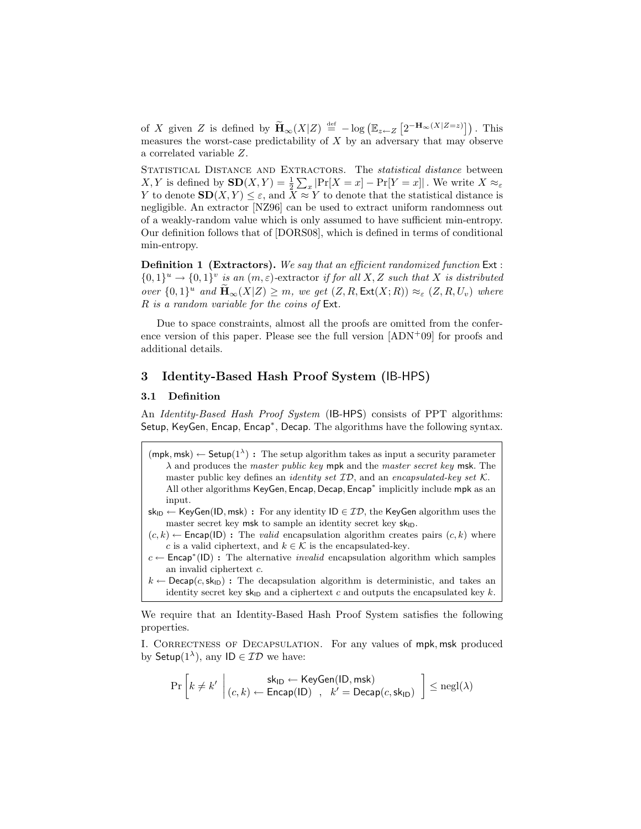of X given Z is defined by  $\widetilde{\mathbf{H}}_{\infty}(X|Z) \stackrel{\text{def}}{=} -\log \left( \mathbb{E}_{z \leftarrow Z} \left[ 2^{-\mathbf{H}_{\infty}(X|Z=z)} \right] \right)$ . This measures the worst-case predictability of  $X$  by an adversary that may observe a correlated variable Z.

STATISTICAL DISTANCE AND EXTRACTORS. The *statistical distance* between X, Y is defined by  $\mathbf{SD}(X, Y) = \frac{1}{2} \sum_x |\Pr[X = x] - \Pr[Y = x]|$ . We write  $X \approx_{\varepsilon}$ Y to denote  $SD(X, Y) \leq \varepsilon$ , and  $\overline{X} \approx Y$  to denote that the statistical distance is negligible. An extractor [NZ96] can be used to extract uniform randomness out of a weakly-random value which is only assumed to have sufficient min-entropy. Our definition follows that of [DORS08], which is defined in terms of conditional min-entropy.

Definition 1 (Extractors). We say that an efficient randomized function Ext :  $\{0,1\}^u \to \{0,1\}^v$  is an  $(m,\varepsilon)$ -extractor if for all X, Z such that X is distributed over  $\{0,1\}^u$  and  $\widetilde{\mathbf{H}}_{\infty}(X|Z) \geq m$ , we get  $(Z, R, \text{Ext}(X; R)) \approx_{\varepsilon} (Z, R, U_v)$  where R is a random variable for the coins of Ext.

Due to space constraints, almost all the proofs are omitted from the conference version of this paper. Please see the full version [ADN+09] for proofs and additional details.

## 3 Identity-Based Hash Proof System (IB-HPS)

## 3.1 Definition

An *Identity-Based Hash Proof System* (IB-HPS) consists of PPT algorithms: Setup, KeyGen, Encap, Encap<sup>∗</sup> , Decap. The algorithms have the following syntax.

- $(\text{mpk}, \text{msk}) \leftarrow \text{Setup}(1^{\lambda})$ : The setup algorithm takes as input a security parameter  $\lambda$  and produces the *master public key* mpk and the *master secret key* msk. The master public key defines an *identity set*  $ID$ , and an *encapsulated-key set*  $K$ . All other algorithms KeyGen, Encap, Decap, Encap<sup>\*</sup> implicitly include mpk as an input.
- $sk_{ID} \leftarrow KeyGen(ID, msk) : For any identity ID \in ID, the KeyGen algorithm uses the$ master secret key  ${\sf msk}$  to sample an identity secret key  ${\sf sk}_{\textsf{ID}}.$
- $(c, k) \leftarrow$  Encap(ID): The *valid* encapsulation algorithm creates pairs  $(c, k)$  where c is a valid ciphertext, and  $k \in \mathcal{K}$  is the encapsulated-key.
- $c \leftarrow$  Encap<sup>\*</sup>(ID): The alternative *invalid* encapsulation algorithm which samples an invalid ciphertext c.
- $k \leftarrow \mathsf{Decap}(c, \mathsf{sk}_{\mathsf{ID}})$ : The decapsulation algorithm is deterministic, and takes an identity secret key  $sk_{ID}$  and a ciphertext c and outputs the encapsulated key k.

We require that an Identity-Based Hash Proof System satisfies the following properties.

I. CORRECTNESS OF DECAPSULATION. For any values of mpk, msk produced by Setup $(1^{\lambda})$ , any ID  $\in \mathcal{ID}$  we have:

$$
\Pr\left[k \neq k' \; \left| \begin{matrix} \mathsf{sk}_{\mathsf{ID}} \leftarrow \mathsf{KeyGen}(\mathsf{ID}, \mathsf{msk}) \\ (c, k) \leftarrow \mathsf{Encap}(\mathsf{ID}) \end{matrix} \right|, \ k' = \mathsf{Decap}(c, \mathsf{sk}_{\mathsf{ID}}) \ \right] \le \mathsf{negl}(\lambda)
$$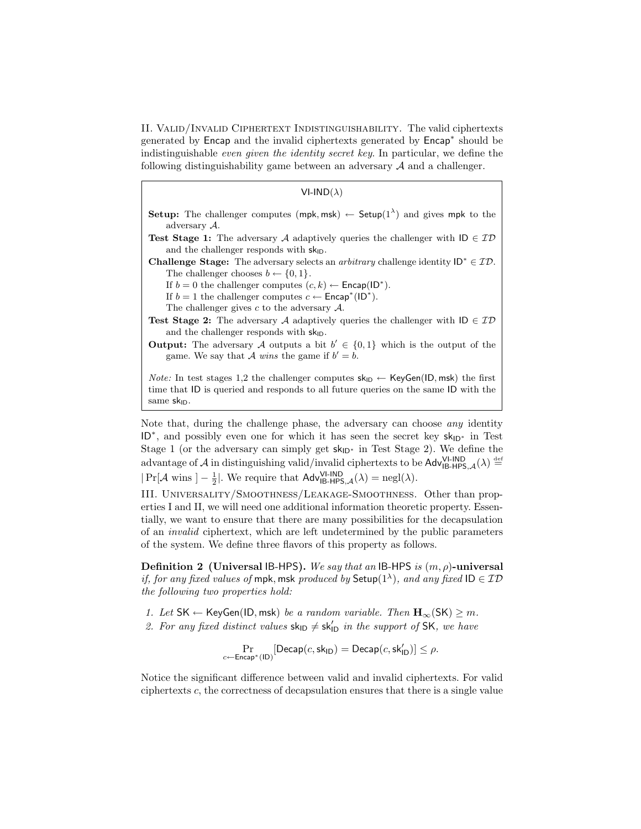II. Valid/Invalid Ciphertext Indistinguishability. The valid ciphertexts generated by Encap and the invalid ciphertexts generated by Encap<sup>\*</sup> should be indistinguishable even given the identity secret key. In particular, we define the following distinguishability game between an adversary  $A$  and a challenger.

#### $VI-IND( \lambda )$

- **Setup:** The challenger computes (mpk, msk)  $\leftarrow$  Setup(1<sup> $\lambda$ </sup>) and gives mpk to the adversary A.
- **Test Stage 1:** The adversary A adaptively queries the challenger with  $\mathsf{ID} \in \mathcal{ID}$ and the challenger responds with  $sk_{ID}$ .

Challenge Stage: The adversary selects an *arbitrary* challenge identity  $D^* \in \mathcal{ID}$ . The challenger chooses  $b \leftarrow \{0, 1\}.$ 

If  $b = 0$  the challenger computes  $(c, k) \leftarrow$  Encap(ID<sup>\*</sup>).

- If  $b = 1$  the challenger computes  $c \leftarrow \mathsf{Encap}^*(ID^*)$ .
- The challenger gives  $c$  to the adversary  $\mathcal{A}$ .
- **Test Stage 2:** The adversary A adaptively queries the challenger with  $ID \in ID$ and the challenger responds with  $sk_{ID}$ .
- **Output:** The adversary A outputs a bit  $b' \in \{0,1\}$  which is the output of the game. We say that A wins the game if  $b' = b$ .

*Note:* In test stages 1,2 the challenger computes  $\mathsf{sk}_{\mathsf{ID}} \leftarrow \mathsf{KeyGen}(\mathsf{ID}, \mathsf{msk})$  the first time that ID is queried and responds to all future queries on the same ID with the same  $sk_{ID}$ .

Note that, during the challenge phase, the adversary can choose any identity ID<sup>\*</sup>, and possibly even one for which it has seen the secret key  $sk_{D^*}$  in Test Stage 1 (or the adversary can simply get  $sk_{D*}$  in Test Stage 2). We define the advantage of A in distinguishing valid/invalid ciphertexts to be  $\mathsf{Adv}_{\mathsf{IB-HPS},\mathcal{A}}^{\mathsf{VI-IND}}(\lambda) \stackrel{\text{def}}{=}$  $|\Pr[\mathcal{A} \text{ wins } ] - \frac{1}{2}|.$  We require that  $\mathsf{Adv}_{\mathsf{IB-HPS},\mathcal{A}}^{V1-\mathsf{IND}}(\lambda) = \text{negl}(\lambda).$ 

III. Universality/Smoothness/Leakage-Smoothness. Other than properties I and II, we will need one additional information theoretic property. Essentially, we want to ensure that there are many possibilities for the decapsulation of an invalid ciphertext, which are left undetermined by the public parameters of the system. We define three flavors of this property as follows.

Definition 2 (Universal IB-HPS). We say that an IB-HPS is  $(m, \rho)$ -universal if, for any fixed values of mpk, msk produced by Setup( $1^{\lambda}$ ), and any fixed ID  $\in \mathcal{ID}$ the following two properties hold:

1. Let SK ← KeyGen(ID, msk) be a random variable. Then  $\mathbf{H}_{\infty}$ (SK)  $\geq m$ .

2. For any fixed distinct values  $sk_{ID} \neq sk'_{ID}$  in the support of SK, we have

$$
\Pr_{c \leftarrow \mathsf{Encap}^*(\mathsf{ID})}[\mathsf{Decap}(c,\mathsf{sk}_{\mathsf{ID}}) = \mathsf{Decap}(c,\mathsf{sk}_{\mathsf{ID}}')] \leq \rho.
$$

Notice the significant difference between valid and invalid ciphertexts. For valid ciphertexts c, the correctness of decapsulation ensures that there is a single value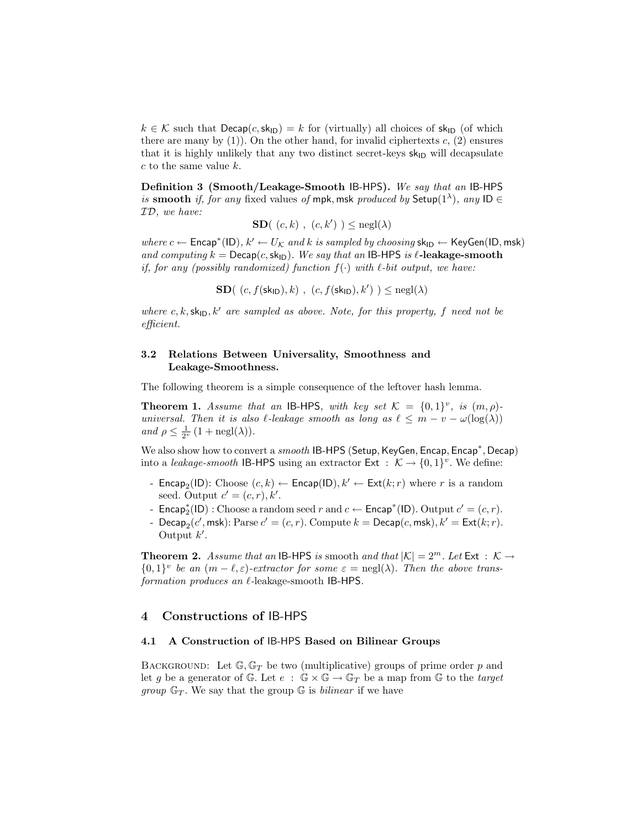$k \in \mathcal{K}$  such that  $\text{Decap}(c, \text{sk}_{\text{ID}}) = k$  for (virtually) all choices of  $\text{sk}_{\text{ID}}$  (of which there are many by  $(1)$ ). On the other hand, for invalid ciphertexts c,  $(2)$  ensures that it is highly unlikely that any two distinct secret-keys  $sk_{\text{ID}}$  will decapsulate c to the same value k.

Definition 3 (Smooth/Leakage-Smooth IB-HPS). We say that an IB-HPS is smooth if, for any fixed values of mpk, msk produced by Setup( $1^{\lambda}$ ), any ID  $\in$ ID, we have:

$$
\mathbf{SD}((c, k), (c, k')) \le \mathrm{negl}(\lambda)
$$

where  $c \leftarrow$  Encap<sup>\*</sup>(ID),  $k' \leftarrow U_{\mathcal{K}}$  and k is sampled by choosing sk<sub>ID</sub>  $\leftarrow$  KeyGen(ID, msk) and computing  $k = \text{Decap}(c, \text{sk}_{\text{ID}})$ . We say that an IB-HPS is  $\ell$ -leakage-smooth if, for any (possibly randomized) function  $f(\cdot)$  with  $\ell$ -bit output, we have:

**SD**( $(c, f(\mathsf{sk}_{\mathsf{ID}}), k)$ ,  $(c, f(\mathsf{sk}_{\mathsf{ID}}), k')$ )  $\leq$  negl( $\lambda$ )

where c, k,  $\mathsf{sk}_{\mathsf{ID}}, k'$  are sampled as above. Note, for this property, f need not be efficient.

## 3.2 Relations Between Universality, Smoothness and Leakage-Smoothness.

The following theorem is a simple consequence of the leftover hash lemma.

**Theorem 1.** Assume that an IB-HPS, with key set  $\mathcal{K} = \{0,1\}^v$ , is  $(m,\rho)$ universal. Then it is also  $\ell$ -leakage smooth as long as  $\ell \leq m - v - \omega(\log(\lambda))$ and  $\rho \leq \frac{1}{2^{\nu}} (1 + \text{negl}(\lambda)).$ 

We also show how to convert a *smooth* IB-HPS (Setup, KeyGen, Encap, Encap<sup>\*</sup>, Decap) into a leakage-smooth IB-HPS using an extractor  $Ext : \mathcal{K} \to \{0,1\}^v$ . We define:

- Encap<sub>2</sub>(ID): Choose  $(c, k) \leftarrow$  Encap(ID),  $k' \leftarrow \text{Ext}(k; r)$  where r is a random seed. Output  $c' = (c, r), k'.$
- **-** Encap<sup>\*</sup><sub>2</sub>(ID) : Choose a random seed *r* and *c* ← Encap<sup>\*</sup>(ID). Output *c'* =  $(c, r)$ .
- Decap<sub>2</sub>(c', msk): Parse  $c' = (c, r)$ . Compute  $k = \mathsf{Decap}(c, \mathsf{msk}), k' = \mathsf{Ext}(k; r)$ . Output  $k'$ .

**Theorem 2.** Assume that an IB-HPS is smooth and that  $|K| = 2^m$ . Let Ext :  $K \rightarrow$  ${0,1}^v$  be an  $(m - \ell, \varepsilon)$ -extractor for some  $\varepsilon = \text{negl}(\lambda)$ . Then the above transformation produces an  $\ell$ -leakage-smooth IB-HPS.

## 4 Constructions of IB-HPS

#### 4.1 A Construction of IB-HPS Based on Bilinear Groups

BACKGROUND: Let  $\mathbb{G}, \mathbb{G}_T$  be two (multiplicative) groups of prime order p and let g be a generator of G. Let  $e : \mathbb{G} \times \mathbb{G} \to \mathbb{G}_T$  be a map from G to the target *group*  $\mathbb{G}_T$ . We say that the group  $\mathbb{G}$  is *bilinear* if we have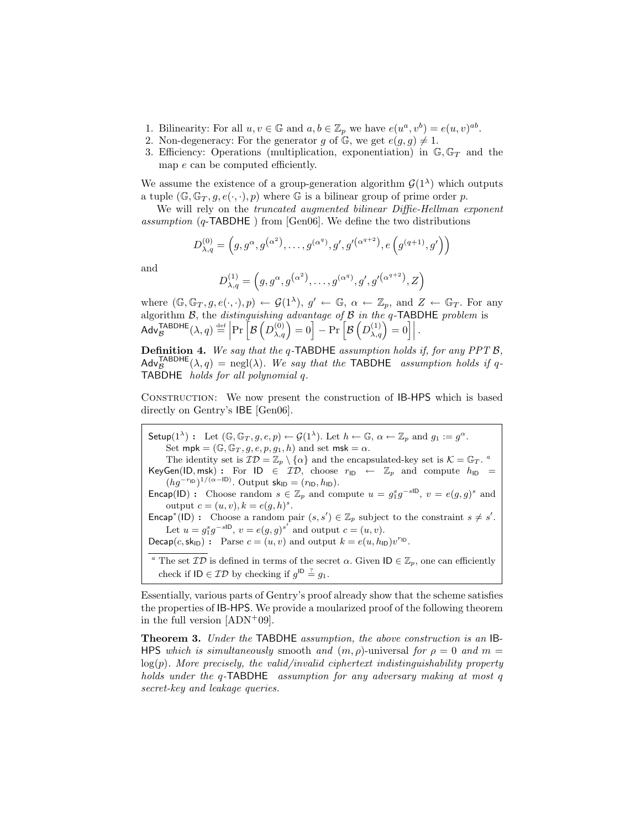- 1. Bilinearity: For all  $u, v \in \mathbb{G}$  and  $a, b \in \mathbb{Z}_p$  we have  $e(u^a, v^b) = e(u, v)^{ab}$ .
- 2. Non-degeneracy: For the generator g of G, we get  $e(g, g) \neq 1$ .
- 3. Efficiency: Operations (multiplication, exponentiation) in  $\mathbb{G}, \mathbb{G}_T$  and the map e can be computed efficiently.

We assume the existence of a group-generation algorithm  $\mathcal{G}(1^{\lambda})$  which outputs a tuple  $(\mathbb{G}, \mathbb{G}_T, g, e(\cdot, \cdot), p)$  where  $\mathbb{G}$  is a bilinear group of prime order p.

We will rely on the *truncated augmented bilinear Diffie-Hellman exponent* assumption (q-TABDHE ) from [Gen06]. We define the two distributions

$$
D_{\lambda,q}^{(0)} = (g, g^{\alpha}, g^{(\alpha^2)}, \dots, g^{(\alpha^q)}, g', g'^{(\alpha^{q+2})}, e(g^{(q+1)}, g'))
$$

and

$$
D_{\lambda,q}^{(1)} = (g, g^{\alpha}, g^{(\alpha^2)}, \dots, g^{(\alpha^q)}, g', g'^{(\alpha^{q+2})}, Z)
$$

where  $(\mathbb{G}, \mathbb{G}_T, g, e(\cdot, \cdot), p) \leftarrow \mathcal{G}(1^{\lambda}), g' \leftarrow \mathbb{G}, \alpha \leftarrow \mathbb{Z}_p$ , and  $Z \leftarrow \mathbb{G}_T$ . For any algorithm  $\mathcal{B}$ , the *distinguishing advantage of*  $\mathcal{B}$  *in the q*-TABDHE problem is  $\mathsf{Adv}_{\mathcal{B}}^{\mathsf{TABDHE}}(\lambda, q) \stackrel{\text{def}}{=} \left| \Pr \left[ \mathcal{B} \left( D_{\lambda, q}^{(0)} \right) = 0 \right] - \Pr \left[ \mathcal{B} \left( D_{\lambda, q}^{(1)} \right) = 0 \right] \right|.$ 

Definition 4. We say that the q-TABDHE assumption holds if, for any PPT B,  $\mathsf{Adv}_{\mathcal{B}}^{\mathsf{TABDHE}}(\lambda, q) = \text{negl}(\lambda)$ . We say that the TABDHE assumption holds if q-TABDHE holds for all polynomial q.

Construction: We now present the construction of IB-HPS which is based directly on Gentry's IBE [Gen06].

Setup $(1^{\lambda})$ : Let  $(\mathbb{G}, \mathbb{G}_T, g, e, p) \leftarrow \mathcal{G}(1^{\lambda})$ . Let  $h \leftarrow \mathbb{G}, \alpha \leftarrow \mathbb{Z}_p$  and  $g_1 := g^{\alpha}$ . Set  $\mathsf{mpk} = (\mathbb{G}, \mathbb{G}_T, g, e, p, g_1, h)$  and set  $\mathsf{msk} = \alpha.$ The identity set is  $\mathcal{ID} = \mathbb{Z}_p \setminus \{\alpha\}$  and the encapsulated-key set is  $\mathcal{K} = \mathbb{G}_T$ . KeyGen(ID, msk) : For ID  $\in \mathcal{ID}$ , choose  $r_{\text{ID}} \leftarrow \mathbb{Z}_p$  and compute  $h_{\text{ID}} =$  $(hg^{-r_{\text{ID}}})^{1/(\alpha-\text{ID})}$ . Output sk<sub>ID</sub> =  $(r_{\text{ID}}, h_{\text{ID}})$ . **Encap(ID)**: Choose random  $s \in \mathbb{Z}_p$  and compute  $u = g_1^s g^{-s}$ ,  $v = e(g, g)^s$  and output  $c = (u, v), k = e(g, h)^s$ . Encap<sup>\*</sup>(ID): Choose a random pair  $(s, s') \in \mathbb{Z}_p$  subject to the constraint  $s \neq s'$ . Let  $u = g_1^s g^{-s}$ ,  $v = e(g, g)^{s'}$  and output  $c = (u, v)$ . Decap $(c, sk_{\text{ID}}):$  Parse  $c = (u, v)$  and output  $k = e(u, h_{\text{ID}})v^{r_{\text{ID}}}.$ <sup>a</sup> The set  $\mathcal{ID}$  is defined in terms of the secret  $\alpha$ . Given  $\mathsf{ID} \in \mathbb{Z}_p$ , one can efficiently check if  $ID \in \mathcal{ID}$  by checking if  $g^{ID} \stackrel{?}{=} g_1$ .

Essentially, various parts of Gentry's proof already show that the scheme satisfies the properties of IB-HPS. We provide a moularized proof of the following theorem in the full version  $[ADN+09]$ .

Theorem 3. Under the TABDHE assumption, the above construction is an IB-HPS which is simultaneously smooth and  $(m, \rho)$ -universal for  $\rho = 0$  and  $m =$  $log(p)$ . More precisely, the valid/invalid ciphertext indistinguishability property holds under the q-TABDHE assumption for any adversary making at most q secret-key and leakage queries.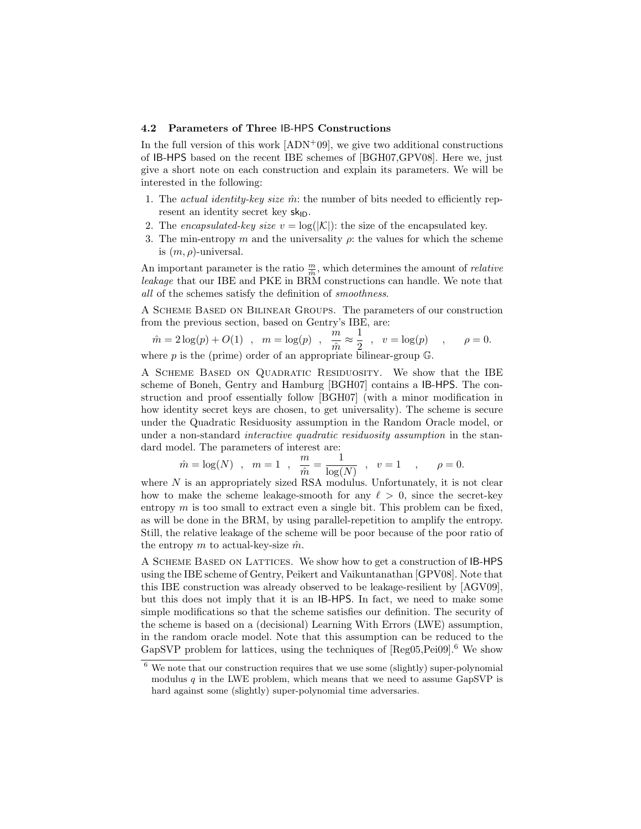#### 4.2 Parameters of Three IB-HPS Constructions

In the full version of this work  $[ADN^+09]$ , we give two additional constructions of IB-HPS based on the recent IBE schemes of [BGH07,GPV08]. Here we, just give a short note on each construction and explain its parameters. We will be interested in the following:

- 1. The *actual identity-key size*  $\hat{m}$ : the number of bits needed to efficiently represent an identity secret key  $sk_{ID}$ .
- 2. The encapsulated-key size  $v = \log(|\mathcal{K}|)$ : the size of the encapsulated key.
- 3. The min-entropy m and the universality  $\rho$ : the values for which the scheme is  $(m, \rho)$ -universal.

An important parameter is the ratio  $\frac{m}{\hat{m}}$ , which determines the amount of *relative* leakage that our IBE and PKE in BRM constructions can handle. We note that all of the schemes satisfy the definition of smoothness.

A Scheme Based on Bilinear Groups. The parameters of our construction from the previous section, based on Gentry's IBE, are:

$$
\hat{m} = 2\log(p) + O(1) \quad , \quad m = \log(p) \quad , \quad \frac{m}{\hat{m}} \approx \frac{1}{2} \quad , \quad v = \log(p) \quad , \qquad \rho = 0.
$$
\nwhere  $p$  is the (prime) order of an appropriate bilinear-group  $\mathbb{G}$ .

A Scheme Based on Quadratic Residuosity. We show that the IBE scheme of Boneh, Gentry and Hamburg [BGH07] contains a IB-HPS. The construction and proof essentially follow [BGH07] (with a minor modification in how identity secret keys are chosen, to get universality). The scheme is secure under the Quadratic Residuosity assumption in the Random Oracle model, or under a non-standard *interactive quadratic residuosity assumption* in the standard model. The parameters of interest are:

$$
\hat{m} = \log(N)
$$
,  $m = 1$ ,  $\frac{m}{\hat{m}} = \frac{1}{\log(N)}$ ,  $v = 1$ ,  $\rho = 0$ .

where  $N$  is an appropriately sized RSA modulus. Unfortunately, it is not clear how to make the scheme leakage-smooth for any  $\ell > 0$ , since the secret-key entropy  $m$  is too small to extract even a single bit. This problem can be fixed, as will be done in the BRM, by using parallel-repetition to amplify the entropy. Still, the relative leakage of the scheme will be poor because of the poor ratio of the entropy m to actual-key-size  $\hat{m}$ .

A Scheme Based on Lattices. We show how to get a construction of IB-HPS using the IBE scheme of Gentry, Peikert and Vaikuntanathan [GPV08]. Note that this IBE construction was already observed to be leakage-resilient by [AGV09], but this does not imply that it is an IB-HPS. In fact, we need to make some simple modifications so that the scheme satisfies our definition. The security of the scheme is based on a (decisional) Learning With Errors (LWE) assumption, in the random oracle model. Note that this assumption can be reduced to the GapSVP problem for lattices, using the techniques of  $[Reg05, Pei09]$ <sup>6</sup>. We show

<sup>6</sup> We note that our construction requires that we use some (slightly) super-polynomial modulus  $q$  in the LWE problem, which means that we need to assume GapSVP is hard against some (slightly) super-polynomial time adversaries.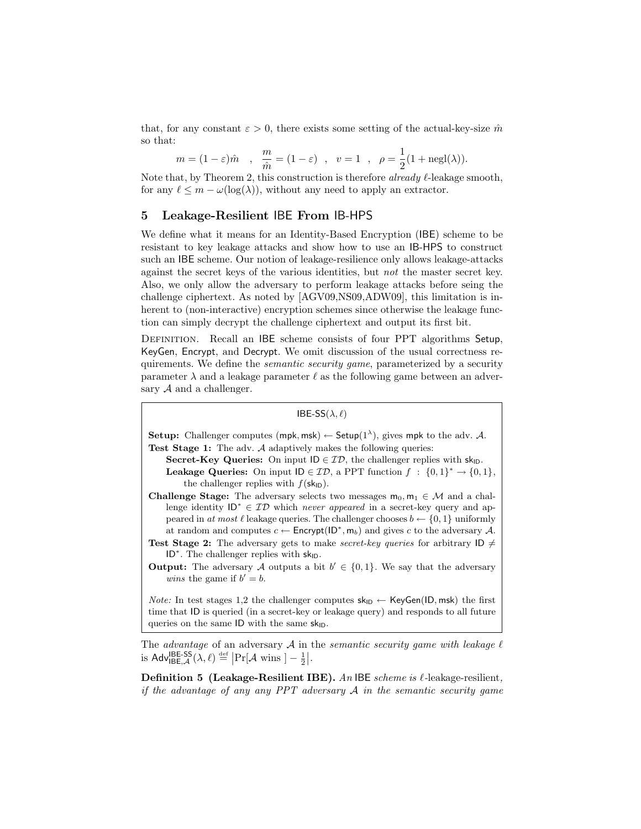that, for any constant  $\varepsilon > 0$ , there exists some setting of the actual-key-size  $\hat{m}$ so that:

$$
m = (1 - \varepsilon)\hat{m}
$$
,  $\frac{m}{\hat{m}} = (1 - \varepsilon)$ ,  $v = 1$ ,  $\rho = \frac{1}{2}(1 + \text{negl}(\lambda)).$ 

Note that, by Theorem 2, this construction is therefore *already*  $\ell$ -leakage smooth, for any  $\ell \leq m - \omega(\log(\lambda))$ , without any need to apply an extractor.

## 5 Leakage-Resilient IBE From IB-HPS

We define what it means for an Identity-Based Encryption (IBE) scheme to be resistant to key leakage attacks and show how to use an IB-HPS to construct such an IBE scheme. Our notion of leakage-resilience only allows leakage-attacks against the secret keys of the various identities, but not the master secret key. Also, we only allow the adversary to perform leakage attacks before seing the challenge ciphertext. As noted by [AGV09,NS09,ADW09], this limitation is inherent to (non-interactive) encryption schemes since otherwise the leakage function can simply decrypt the challenge ciphertext and output its first bit.

DEFINITION. Recall an IBE scheme consists of four PPT algorithms Setup, KeyGen, Encrypt, and Decrypt. We omit discussion of the usual correctness requirements. We define the *semantic security game*, parameterized by a security parameter  $\lambda$  and a leakage parameter  $\ell$  as the following game between an adversary  $A$  and a challenger.

```
IBE-SS(\lambda, \ell)
```
**Setup:** Challenger computes (mpk, msk)  $\leftarrow$  Setup(1<sup> $\lambda$ </sup>), gives mpk to the adv. A. Test Stage 1: The adv. A adaptively makes the following queries:

Secret-Key Queries: On input  $ID \in \mathcal{ID}$ , the challenger replies with sk<sub>ID</sub>. **Leakage Queries:** On input  $\mathsf{ID} \in \mathcal{ID}$ , a PPT function  $f : \{0,1\}^* \to \{0,1\}$ , the challenger replies with  $f(\mathsf{sk}_{\mathsf{ID}})$ .

Challenge Stage: The adversary selects two messages  $m_0, m_1 \in \mathcal{M}$  and a challenge identity  $ID^* \in ID$  which *never appeared* in a secret-key query and appeared in at most  $\ell$  leakage queries. The challenger chooses  $b \leftarrow \{0, 1\}$  uniformly at random and computes  $c \leftarrow$  Encrypt(ID<sup>\*</sup>, m<sub>b</sub>) and gives c to the adversary A.

**Test Stage 2:** The adversary gets to make *secret-key queries* for arbitrary  $\mathsf{ID} \neq$ ID<sup>\*</sup>. The challenger replies with  $sk_{ID}$ .

**Output:** The adversary A outputs a bit  $b' \in \{0,1\}$ . We say that the adversary *wins* the game if  $b' = b$ .

*Note:* In test stages 1,2 the challenger computes  $sk_{ID} \leftarrow KeyGen(ID, msk)$  the first time that ID is queried (in a secret-key or leakage query) and responds to all future queries on the same  $ID$  with the same  $sk<sub>ID</sub>$ .

The advantage of an adversary  $A$  in the semantic security game with leakage  $\ell$ is Adv<sup>IBE-SS</sup> $(\lambda, \ell) \stackrel{\text{def}}{=} \left| \Pr[\mathcal{A} \text{ wins } ] - \frac{1}{2} \right|.$ 

**Definition 5 (Leakage-Resilient IBE).** An IBE scheme is  $\ell$ -leakage-resilient, if the advantage of any any PPT adversary  $A$  in the semantic security game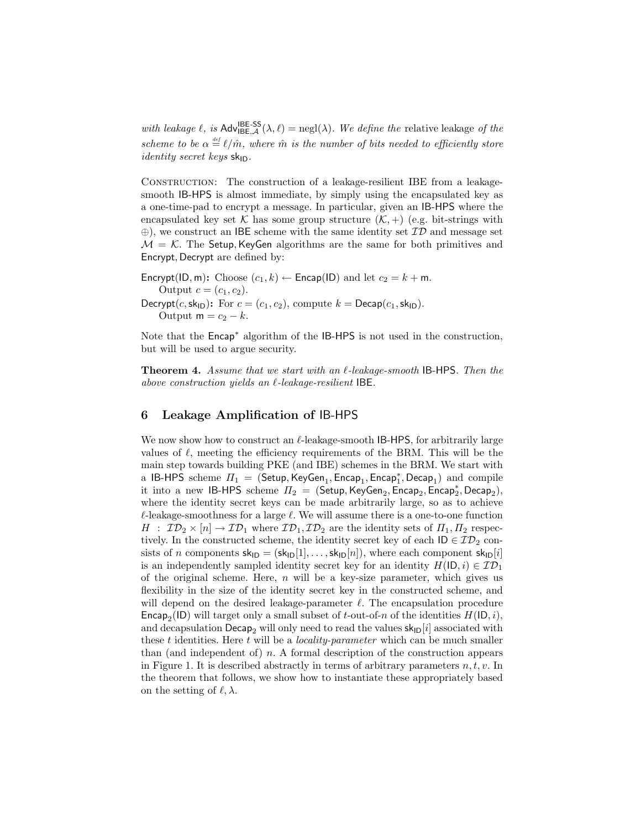with leakage  $\ell$ , is  $\text{Adv}_{\text{IBE},\mathcal{A}}^{\text{IBE-SS}}(\lambda,\ell) = \text{negl}(\lambda)$ . We define the relative leakage of the scheme to be  $\alpha \stackrel{\text{\tiny def}}{=} \ell/\hat{m}$ , where  $\hat{m}$  is the number of bits needed to efficiently store *identity secret keys*  $sk_{ID}$ .

Construction: The construction of a leakage-resilient IBE from a leakagesmooth IB-HPS is almost immediate, by simply using the encapsulated key as a one-time-pad to encrypt a message. In particular, given an IB-HPS where the encapsulated key set K has some group structure  $(K,+)$  (e.g. bit-strings with  $\oplus$ ), we construct an IBE scheme with the same identity set  $\mathcal{ID}$  and message set  $M = K$ . The Setup, KeyGen algorithms are the same for both primitives and Encrypt, Decrypt are defined by:

Encrypt(ID, m): Choose  $(c_1, k) \leftarrow$  Encap(ID) and let  $c_2 = k + m$ . Output  $c = (c_1, c_2)$ . Decrypt(c, sk<sub>ID</sub>): For  $c = (c_1, c_2)$ , compute  $k = \text{Decap}(c_1, \text{sk}_{\text{ID}})$ . Output  $m = c_2 - k$ .

Note that the Encap<sup>\*</sup> algorithm of the IB-HPS is not used in the construction, but will be used to argue security.

**Theorem 4.** Assume that we start with an  $\ell$ -leakage-smooth IB-HPS. Then the above construction yields an  $\ell$ -leakage-resilient IBE.

## 6 Leakage Amplification of IB-HPS

We now show how to construct an  $\ell$ -leakage-smooth IB-HPS, for arbitrarily large values of  $\ell$ , meeting the efficiency requirements of the BRM. This will be the main step towards building PKE (and IBE) schemes in the BRM. We start with a IB-HPS scheme  $\Pi_1 = (\mathsf{Setup},\mathsf{KeyGen}_1,\mathsf{Encap}_1,\mathsf{Encap}_1^\ast,\mathsf{Decap}_1)$  and compile it into a new IB-HPS scheme  $\Pi_2$  = (Setup, KeyGen<sub>2</sub>, Encap<sub>2</sub>, Encap<sub>2</sub><sup>\*</sup>, Decap<sub>2</sub><sup>\*</sup>), where the identity secret keys can be made arbitrarily large, so as to achieve  $\ell$ -leakage-smoothness for a large  $\ell$ . We will assume there is a one-to-one function  $H$ :  $\mathcal{ID}_2 \times [n] \to \mathcal{ID}_1$  where  $\mathcal{ID}_1, \mathcal{ID}_2$  are the identity sets of  $\Pi_1, \Pi_2$  respectively. In the constructed scheme, the identity secret key of each  $ID \in \mathcal{ID}_2$  consists of n components  $sk_{ID} = (sk_{ID}[1], \ldots, sk_{ID}[n])$ , where each component  $sk_{ID}[i]$ is an independently sampled identity secret key for an identity  $H(\mathsf{ID}, i) \in \mathcal{ID}_1$ of the original scheme. Here,  $n$  will be a key-size parameter, which gives us flexibility in the size of the identity secret key in the constructed scheme, and will depend on the desired leakage-parameter  $\ell$ . The encapsulation procedure Encap<sub>2</sub>(ID) will target only a small subset of *t*-out-of-n of the identities  $H(\mathsf{ID}, i)$ , and decapsulation Decap<sub>2</sub> will only need to read the values  $sk_{D}[i]$  associated with these t identities. Here t will be a *locality-parameter* which can be much smaller than (and independent of)  $n$ . A formal description of the construction appears in Figure 1. It is described abstractly in terms of arbitrary parameters  $n, t, v$ . In the theorem that follows, we show how to instantiate these appropriately based on the setting of  $\ell, \lambda$ .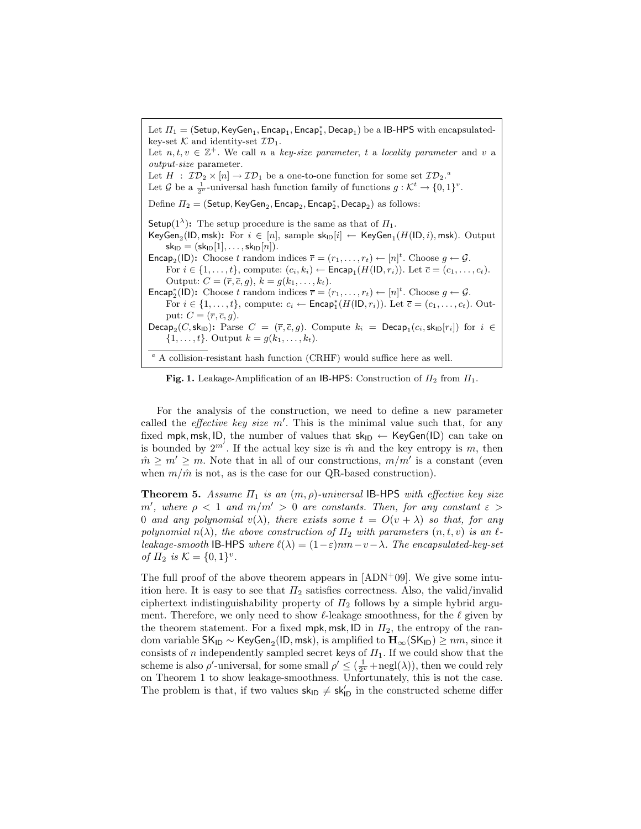Let  $\Pi_1 = (\mathsf{Setup},\mathsf{KeyGen}_1,\mathsf{Encap}_1,\mathsf{Encap}_1^*,\mathsf{Decap}_1)$  be a IB-HPS with encapsulatedkey-set  $\mathcal K$  and identity-set  $\mathcal I \mathcal D_1$ . Let  $n, t, v \in \mathbb{Z}^+$ . We call n a key-size parameter, t a locality parameter and v a output-size parameter. Let  $H : \mathcal{ID}_2 \times [n] \to \mathcal{ID}_1$  be a one-to-one function for some set  $\mathcal{ID}_2$ . Let  $\mathcal G$  be a  $\frac{1}{2^v}$ -universal hash function family of functions  $g: \mathcal{K}^t \to \{0,1\}^v$ . Define  $\Pi_2=(\mathsf{Setup},\mathsf{KeyGen}_2,\mathsf{Encap}_2,\mathsf{Encap}_2^*,\mathsf{Decap}_2)$  as follows: Setup(1<sup> $\lambda$ </sup>): The setup procedure is the same as that of  $\Pi_1$ . KeyGen<sub>2</sub>(ID, msk): For  $i \in [n]$ , sample  $\mathsf{sk}_{\mathsf{ID}}[i] \leftarrow \mathsf{KeyGen}_1(H(\mathsf{ID}, i), \mathsf{msk})$ . Output  $sk_{ID} = (sk_{ID}[1], \ldots, sk_{ID}[n]).$ **Encap<sub>2</sub>**(ID): Choose t random indices  $\overline{r} = (r_1, \ldots, r_t) \leftarrow [n]^t$ . Choose  $g \leftarrow \mathcal{G}$ . For  $i \in \{1, \ldots, t\}$ , compute:  $(c_i, k_i) \leftarrow \mathsf{Encap}_1(H(\mathsf{ID}, r_i))$ . Let  $\overline{c} = (c_1, \ldots, c_t)$ . Output:  $C = (\overline{r}, \overline{c}, g), k = g(k_1, \ldots, k_t).$ Encap<sup>\*</sup><sub>2</sub>(ID): Choose t random indices  $\overline{r} = (r_1, \ldots, r_t) \leftarrow [n]^t$ . Choose  $g \leftarrow \mathcal{G}$ . For  $i \in \{1, ..., t\}$ , compute:  $c_i \leftarrow \text{Encap}_1^*(H(\mathsf{ID}, r_i))$ . Let  $\overline{c} = (c_1, ..., c_t)$ . Output:  $C = (\overline{r}, \overline{c}, g)$ . Decap<sub>2</sub>(*C*, sk<sub>ID</sub>): Parse  $C = (\bar{r}, \bar{c}, g)$ . Compute  $k_i = \textsf{Decap}_1(c_i, \textsf{sk}_{\textsf{ID}}[r_i])$  for  $i \in$  $\{1, \ldots, t\}$ . Output  $k = g(k_1, \ldots, k_t)$ .  $^a$  A collision-resistant hash function (CRHF) would suffice here as well.

Fig. 1. Leakage-Amplification of an IB-HPS: Construction of  $\Pi_2$  from  $\Pi_1$ .

For the analysis of the construction, we need to define a new parameter called the *effective key size*  $m'$ . This is the minimal value such that, for any fixed mpk, msk, ID, the number of values that  $sk_{ID} \leftarrow KeyGen(ID)$  can take on is bounded by  $2^{m'}$ . If the actual key size is  $\hat{m}$  and the key entropy is m, then  $m \geq m' \geq m$ . Note that in all of our constructions,  $m/m'$  is a constant (even when  $m/\hat{m}$  is not, as is the case for our QR-based construction).

**Theorem 5.** Assume  $\Pi_1$  is an  $(m, \rho)$ -universal IB-HPS with effective key size m', where  $\rho < 1$  and  $m/m' > 0$  are constants. Then, for any constant  $\varepsilon >$ 0 and any polynomial  $v(\lambda)$ , there exists some  $t = O(v + \lambda)$  so that, for any polynomial  $n(\lambda)$ , the above construction of  $\Pi_2$  with parameters  $(n, t, v)$  is an  $\ell$ leakage-smooth IB-HPS where  $\ell(\lambda) = (1 - \varepsilon)nm - v - \lambda$ . The encapsulated-key-set of  $\Pi_2$  is  $K = \{0, 1\}^v$ .

The full proof of the above theorem appears in  $[ADN<sup>+</sup>09]$ . We give some intuition here. It is easy to see that  $\Pi_2$  satisfies correctness. Also, the valid/invalid ciphertext indistinguishability property of  $\Pi_2$  follows by a simple hybrid argument. Therefore, we only need to show  $\ell$ -leakage smoothness, for the  $\ell$  given by the theorem statement. For a fixed mpk, msk, ID in  $\Pi_2$ , the entropy of the random variable SK<sub>ID</sub> ∼ KeyGen<sub>2</sub>(ID, msk), is amplified to  ${\rm\bf H}_\infty$ (SK<sub>ID</sub>)  $\geq nm,$  since it consists of n independently sampled secret keys of  $\Pi_1$ . If we could show that the scheme is also  $\rho'$ -universal, for some small  $\rho' \leq (\frac{1}{2^v} + negl(\lambda))$ , then we could rely on Theorem 1 to show leakage-smoothness. Unfortunately, this is not the case. The problem is that, if two values  $sk_{\text{ID}} \neq sk'_{\text{ID}}$  in the constructed scheme differ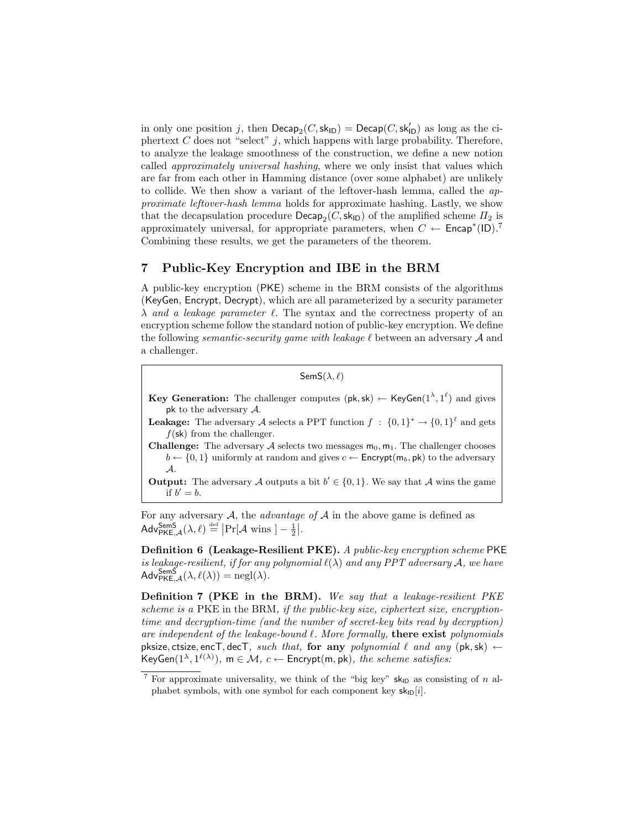in only one position j, then  $\mathsf{Decap}_2(C,\mathsf{sk}_{\mathsf{ID}}) = \mathsf{Decap}(C,\mathsf{sk}_{\mathsf{ID}}')$  as long as the ciphertext  $C$  does not "select"  $j$ , which happens with large probability. Therefore, to analyze the leakage smoothness of the construction, we define a new notion called approximately universal hashing, where we only insist that values which are far from each other in Hamming distance (over some alphabet) are unlikely to collide. We then show a variant of the leftover-hash lemma, called the approximate leftover-hash lemma holds for approximate hashing. Lastly, we show that the decapsulation procedure  $\mathsf{Decap}_2(C, \mathsf{sk}_{\mathsf{ID}})$  of the amplified scheme  $\Pi_2$  is approximately universal, for appropriate parameters, when  $C \leftarrow$  Encap<sup>\*</sup>(ID).<sup>7</sup> Combining these results, we get the parameters of the theorem.

# 7 Public-Key Encryption and IBE in the BRM

A public-key encryption (PKE) scheme in the BRM consists of the algorithms (KeyGen, Encrypt, Decrypt), which are all parameterized by a security parameter  $\lambda$  and a leakage parameter  $\ell$ . The syntax and the correctness property of an encryption scheme follow the standard notion of public-key encryption. We define the following *semantic-security game with leakage*  $\ell$  between an adversary  $\mathcal A$  and a challenger.

Sem $S(\lambda, \ell)$ 

**Key Generation:** The challenger computes  $(\mathsf{pk}, \mathsf{sk}) \leftarrow \mathsf{KeyGen}(1^{\lambda}, 1^{\ell})$  and gives pk to the adversary  $A$ .

**Leakage:** The adversary A selects a PPT function  $f : \{0,1\}^* \to \{0,1\}^{\ell}$  and gets  $f(\mathsf{sk})$  from the challenger.

**Challenge:** The adversary A selects two messages  $m_0$ ,  $m_1$ . The challenger chooses  $b \leftarrow \{0, 1\}$  uniformly at random and gives  $c \leftarrow$  **Encrypt** $(m_b, \text{pk})$  to the adversary A.

**Output:** The adversary A outputs a bit  $b' \in \{0, 1\}$ . We say that A wins the game if  $b'=b$ .

For any adversary  $A$ , the *advantage* of  $A$  in the above game is defined as Adv ${}_{\text{PKE},\mathcal{A}}^{\text{SemS}}(\lambda,\ell) \stackrel{\text{def}}{=} |\Pr[\mathcal{A} \text{ wins } ] - \frac{1}{2}|.$ 

Definition 6 (Leakage-Resilient PKE). A public-key encryption scheme PKE is leakage-resilient, if for any polynomial  $\ell(\lambda)$  and any PPT adversary A, we have  $\mathsf{Adv}_{\mathsf{PKE},\mathcal{A}}^{\mathsf{SemS}}(\lambda,\ell(\lambda)) = \mathsf{negl}(\lambda).$ 

Definition 7 (PKE in the BRM). We say that a leakage-resilient PKE scheme is a PKE in the BRM, if the public-key size, ciphertext size, encryptiontime and decryption-time (and the number of secret-key bits read by decryption) are independent of the leakage-bound  $\ell$ . More formally, there exist polynomials pksize, ctsize, encT, decT, such that, for any polynomial  $\ell$  and any (pk, sk)  $\leftarrow$ KeyGen $(1^{\lambda}, 1^{\ell(\lambda)})$ , m  $\in \mathcal{M}$ ,  $c \leftarrow$  Encrypt(m, pk), the scheme satisfies:

<sup>&</sup>lt;sup>7</sup> For approximate universality, we think of the "big key"  $\mathsf{sk}_{\mathsf{D}}$  as consisting of n alphabet symbols, with one symbol for each component key  $\mathsf{sk}_{\mathsf{ID}}[i]$ .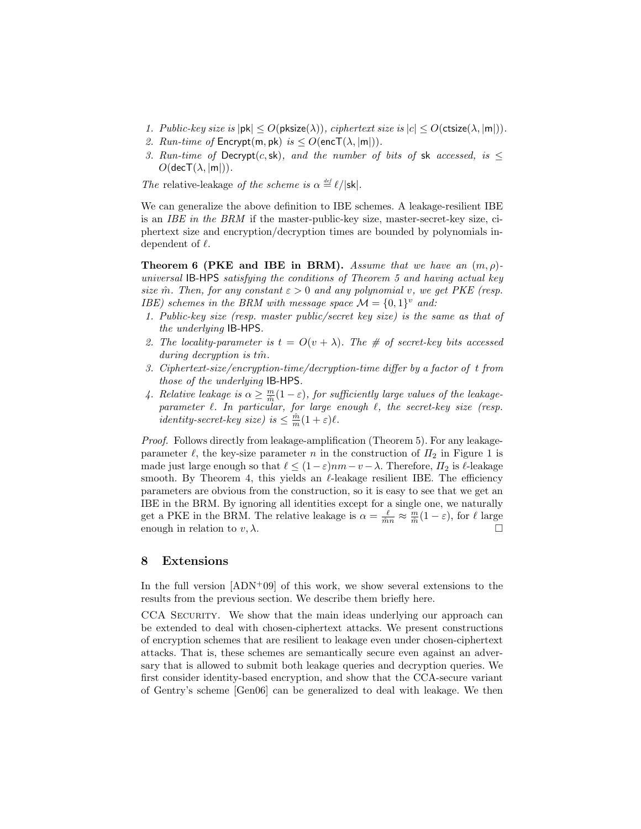- 1. Public-key size is  $|\mathsf{pk}| \leq O(\mathsf{pksize}(\lambda))$ , ciphertext size is  $|c| \leq O(\mathsf{ctsize}(\lambda, |\mathsf{m}|)).$
- 2. Run-time of  $\mathsf{Encrypt}(m, pk)$  is  $\leq O(\mathsf{encT}(\lambda, |m|)).$
- 3. Run-time of Decrypt(c, sk), and the number of bits of sk accessed, is  $\leq$  $O(\mathsf{dec}T(\lambda, |m|)).$

The relative-leakage of the scheme is  $\alpha \stackrel{\text{\tiny def}}{=} \ell/|\mathsf{sk}|$ .

We can generalize the above definition to IBE schemes. A leakage-resilient IBE is an IBE in the BRM if the master-public-key size, master-secret-key size, ciphertext size and encryption/decryption times are bounded by polynomials independent of  $\ell$ .

**Theorem 6 (PKE and IBE in BRM).** Assume that we have an  $(m, \rho)$ universal IB-HPS satisfying the conditions of Theorem 5 and having actual key size m̂. Then, for any constant  $\varepsilon > 0$  and any polynomial v, we get PKE (resp. IBE) schemes in the BRM with message space  $\mathcal{M} = \{0,1\}^v$  and:

- 1. Public-key size (resp. master public/secret key size) is the same as that of the underlying IB-HPS.
- 2. The locality-parameter is  $t = O(v + \lambda)$ . The # of secret-key bits accessed  $during$  decryption is  $t\hat{m}$ .
- 3. Ciphertext-size/encryption-time/decryption-time differ by a factor of t from those of the underlying IB-HPS.
- 4. Relative leakage is  $\alpha \geq \frac{m}{\hat{m}}(1-\varepsilon)$ , for sufficiently large values of the leakageparameter  $\ell$ . In particular, for large enough  $\ell$ , the secret-key size (resp. *identity-secret-key size)* is  $\leq \frac{\hat{m}}{m}(1+\varepsilon)\ell$ .

Proof. Follows directly from leakage-amplification (Theorem 5). For any leakageparameter  $\ell$ , the key-size parameter n in the construction of  $\Pi_2$  in Figure 1 is made just large enough so that  $\ell \leq (1-\varepsilon)nm-v-\lambda$ . Therefore,  $\Pi_2$  is  $\ell$ -leakage smooth. By Theorem 4, this yields an  $\ell$ -leakage resilient IBE. The efficiency parameters are obvious from the construction, so it is easy to see that we get an IBE in the BRM. By ignoring all identities except for a single one, we naturally get a PKE in the BRM. The relative leakage is  $\alpha = \frac{\ell}{m} \approx \frac{m}{\hat{m}}(1-\varepsilon)$ , for  $\ell$  large enough in relation to  $v, \lambda$ .

# 8 Extensions

In the full version  $[ADN^+09]$  of this work, we show several extensions to the results from the previous section. We describe them briefly here.

CCA SECURITY. We show that the main ideas underlying our approach can be extended to deal with chosen-ciphertext attacks. We present constructions of encryption schemes that are resilient to leakage even under chosen-ciphertext attacks. That is, these schemes are semantically secure even against an adversary that is allowed to submit both leakage queries and decryption queries. We first consider identity-based encryption, and show that the CCA-secure variant of Gentry's scheme [Gen06] can be generalized to deal with leakage. We then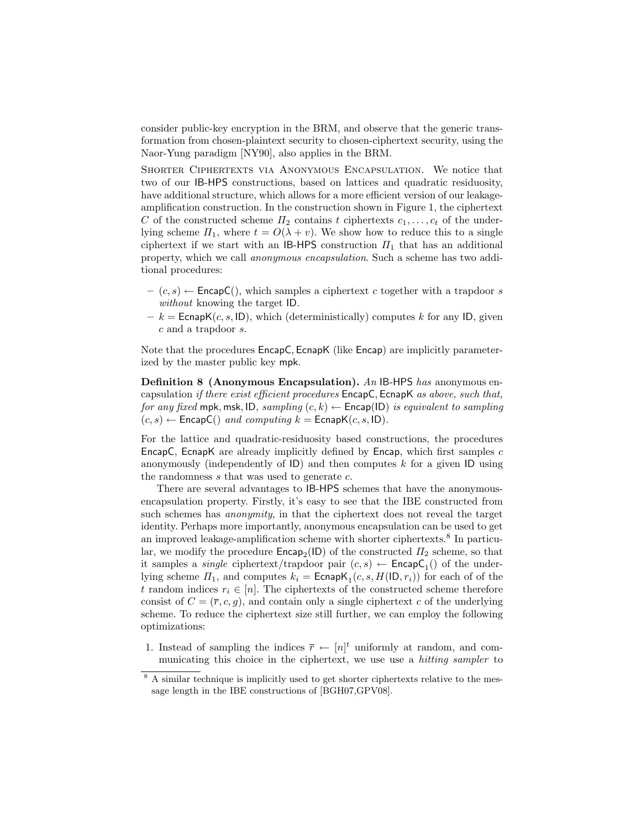consider public-key encryption in the BRM, and observe that the generic transformation from chosen-plaintext security to chosen-ciphertext security, using the Naor-Yung paradigm [NY90], also applies in the BRM.

Shorter Ciphertexts via Anonymous Encapsulation. We notice that two of our IB-HPS constructions, based on lattices and quadratic residuosity, have additional structure, which allows for a more efficient version of our leakageamplification construction. In the construction shown in Figure 1, the ciphertext C of the constructed scheme  $\Pi_2$  contains t ciphertexts  $c_1, \ldots, c_t$  of the underlying scheme  $\Pi_1$ , where  $t = O(\lambda + v)$ . We show how to reduce this to a single ciphertext if we start with an IB-HPS construction  $\Pi_1$  that has an additional property, which we call anonymous encapsulation. Such a scheme has two additional procedures:

- $-(c, s) \leftarrow$  EncapC(), which samples a ciphertext c together with a trapdoor s without knowing the target ID.
- $-k =$  EcnapK(c, s, ID), which (deterministically) computes k for any ID, given c and a trapdoor s.

Note that the procedures EncapC, EcnapK (like Encap) are implicitly parameterized by the master public key mpk.

**Definition 8 (Anonymous Encapsulation).** An IB-HPS has anonymous encapsulation if there exist efficient procedures EncapC, EcnapK as above, such that, for any fixed mpk, msk, ID, sampling  $(c, k) \leftarrow$  Encap(ID) is equivalent to sampling  $(c, s) \leftarrow$  EncapC() and computing  $k =$  EcnapK $(c, s, \text{ID})$ .

For the lattice and quadratic-residuosity based constructions, the procedures EncapC, EcnapK are already implicitly defined by Encap, which first samples  $c$ anonymously (independently of  $\mathsf{ID}$ ) and then computes k for a given  $\mathsf{ID}$  using the randomness  $s$  that was used to generate  $c$ .

There are several advantages to IB-HPS schemes that have the anonymousencapsulation property. Firstly, it's easy to see that the IBE constructed from such schemes has *anonymity*, in that the ciphertext does not reveal the target identity. Perhaps more importantly, anonymous encapsulation can be used to get an improved leakage-amplification scheme with shorter ciphertexts.<sup>8</sup> In particular, we modify the procedure  $\mathsf{Encap}_2(\mathsf{ID})$  of the constructed  $\Pi_2$  scheme, so that it samples a *single* ciphertext/trapdoor pair  $(c, s) \leftarrow$  **EncapC**<sub>1</sub>() of the underlying scheme  $\Pi_1$ , and computes  $k_i = \textsf{EcapK}_1(c, s, H(\textsf{ID}, r_i))$  for each of of the t random indices  $r_i \in [n]$ . The ciphertexts of the constructed scheme therefore consist of  $C = (\overline{r}, c, g)$ , and contain only a single ciphertext c of the underlying scheme. To reduce the ciphertext size still further, we can employ the following optimizations:

1. Instead of sampling the indices  $\bar{r} \leftarrow [n]^t$  uniformly at random, and communicating this choice in the ciphertext, we use use a hitting sampler to

<sup>8</sup> A similar technique is implicitly used to get shorter ciphertexts relative to the message length in the IBE constructions of [BGH07,GPV08].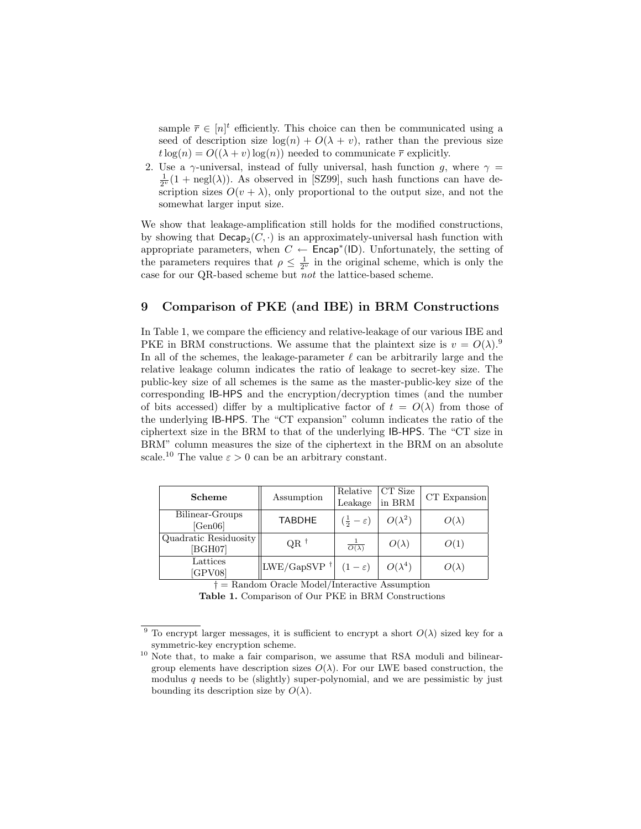sample  $\bar{r} \in [n]^t$  efficiently. This choice can then be communicated using a seed of description size  $log(n) + O(\lambda + v)$ , rather than the previous size  $t \log(n) = O((\lambda + v) \log(n))$  needed to communicate  $\bar{r}$  explicitly.

2. Use a  $\gamma$ -universal, instead of fully universal, hash function g, where  $\gamma$  =  $\frac{1}{2^{\nu}}(1 + \text{negl}(\lambda))$ . As observed in [SZ99], such hash functions can have description sizes  $O(v + \lambda)$ , only proportional to the output size, and not the somewhat larger input size.

We show that leakage-amplification still holds for the modified constructions, by showing that  $\mathsf{Decap}_2(C, \cdot)$  is an approximately-universal hash function with appropriate parameters, when  $C \leftarrow$  Encap<sup>\*</sup>(ID). Unfortunately, the setting of the parameters requires that  $\rho \leq \frac{1}{2^{\nu}}$  in the original scheme, which is only the case for our QR-based scheme but not the lattice-based scheme.

## 9 Comparison of PKE (and IBE) in BRM Constructions

In Table 1, we compare the efficiency and relative-leakage of our various IBE and PKE in BRM constructions. We assume that the plaintext size is  $v = O(\lambda)$ .<sup>9</sup> In all of the schemes, the leakage-parameter  $\ell$  can be arbitrarily large and the relative leakage column indicates the ratio of leakage to secret-key size. The public-key size of all schemes is the same as the master-public-key size of the corresponding IB-HPS and the encryption/decryption times (and the number of bits accessed) differ by a multiplicative factor of  $t = O(\lambda)$  from those of the underlying IB-HPS. The "CT expansion" column indicates the ratio of the ciphertext size in the BRM to that of the underlying IB-HPS. The "CT size in BRM" column measures the size of the ciphertext in the BRM on an absolute scale.<sup>10</sup> The value  $\varepsilon > 0$  can be an arbitrary constant.

|  | <b>Scheme</b>                    | Assumption                                | Relative<br>Leakage                    | CT Size<br>in BRM | CT Expansion |
|--|----------------------------------|-------------------------------------------|----------------------------------------|-------------------|--------------|
|  | Bilinear-Groups<br>[Gen06]       | <b>TABDHE</b>                             | $\left(\frac{1}{2}-\varepsilon\right)$ | $O(\lambda^2)$    | $O(\lambda)$ |
|  | Quadratic Residuosity<br>[BGH07] | $OR^{\dagger}$                            | $\overline{O(\lambda)}$                | $O(\lambda)$      | O(1)         |
|  | Lattices<br>[GPV08]              | $\vert\vert$ LWE/GapSVP $^{\dagger}\vert$ | $(1-\varepsilon)$                      | $O(\lambda^4)$    | $O(\lambda)$ |

† = Random Oracle Model/Interactive Assumption

Table 1. Comparison of Our PKE in BRM Constructions

<sup>&</sup>lt;sup>9</sup> To encrypt larger messages, it is sufficient to encrypt a short  $O(\lambda)$  sized key for a symmetric-key encryption scheme.

 $10$  Note that, to make a fair comparison, we assume that RSA moduli and bilineargroup elements have description sizes  $O(\lambda)$ . For our LWE based construction, the modulus  $q$  needs to be (slightly) super-polynomial, and we are pessimistic by just bounding its description size by  $O(\lambda)$ .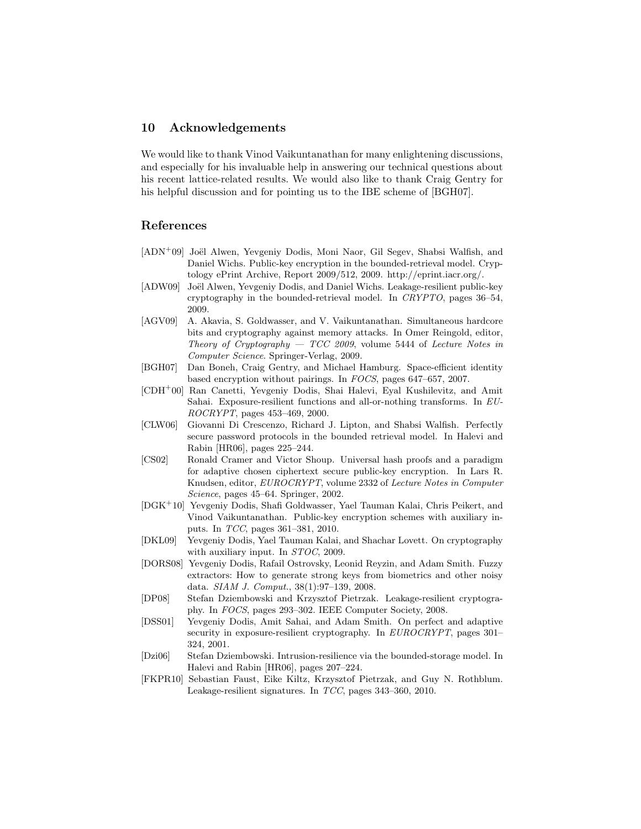## 10 Acknowledgements

We would like to thank Vinod Vaikuntanathan for many enlightening discussions, and especially for his invaluable help in answering our technical questions about his recent lattice-related results. We would also like to thank Craig Gentry for his helpful discussion and for pointing us to the IBE scheme of [BGH07].

## References

- $[ADN<sup>+</sup>09]$  Joël Alwen, Yevgeniy Dodis, Moni Naor, Gil Segev, Shabsi Walfish, and Daniel Wichs. Public-key encryption in the bounded-retrieval model. Cryptology ePrint Archive, Report 2009/512, 2009. http://eprint.iacr.org/.
- [ADW09] Joël Alwen, Yevgeniy Dodis, and Daniel Wichs. Leakage-resilient public-key cryptography in the bounded-retrieval model. In CRYPTO, pages 36–54, 2009.
- [AGV09] A. Akavia, S. Goldwasser, and V. Vaikuntanathan. Simultaneous hardcore bits and cryptography against memory attacks. In Omer Reingold, editor, Theory of Cryptography  $-$  TCC 2009, volume 5444 of Lecture Notes in Computer Science. Springer-Verlag, 2009.
- [BGH07] Dan Boneh, Craig Gentry, and Michael Hamburg. Space-efficient identity based encryption without pairings. In FOCS, pages 647–657, 2007.
- [CDH<sup>+</sup>00] Ran Canetti, Yevgeniy Dodis, Shai Halevi, Eyal Kushilevitz, and Amit Sahai. Exposure-resilient functions and all-or-nothing transforms. In EU-ROCRYPT, pages 453–469, 2000.
- [CLW06] Giovanni Di Crescenzo, Richard J. Lipton, and Shabsi Walfish. Perfectly secure password protocols in the bounded retrieval model. In Halevi and Rabin [HR06], pages 225–244.
- [CS02] Ronald Cramer and Victor Shoup. Universal hash proofs and a paradigm for adaptive chosen ciphertext secure public-key encryption. In Lars R. Knudsen, editor, EUROCRYPT, volume 2332 of Lecture Notes in Computer Science, pages 45–64. Springer, 2002.
- [DGK<sup>+</sup>10] Yevgeniy Dodis, Shafi Goldwasser, Yael Tauman Kalai, Chris Peikert, and Vinod Vaikuntanathan. Public-key encryption schemes with auxiliary inputs. In TCC, pages 361–381, 2010.
- [DKL09] Yevgeniy Dodis, Yael Tauman Kalai, and Shachar Lovett. On cryptography with auxiliary input. In STOC, 2009.
- [DORS08] Yevgeniy Dodis, Rafail Ostrovsky, Leonid Reyzin, and Adam Smith. Fuzzy extractors: How to generate strong keys from biometrics and other noisy data. SIAM J. Comput., 38(1):97–139, 2008.
- [DP08] Stefan Dziembowski and Krzysztof Pietrzak. Leakage-resilient cryptography. In FOCS, pages 293–302. IEEE Computer Society, 2008.
- [DSS01] Yevgeniy Dodis, Amit Sahai, and Adam Smith. On perfect and adaptive security in exposure-resilient cryptography. In EUROCRYPT, pages 301-324, 2001.
- [Dzi06] Stefan Dziembowski. Intrusion-resilience via the bounded-storage model. In Halevi and Rabin [HR06], pages 207–224.
- [FKPR10] Sebastian Faust, Eike Kiltz, Krzysztof Pietrzak, and Guy N. Rothblum. Leakage-resilient signatures. In TCC, pages 343–360, 2010.